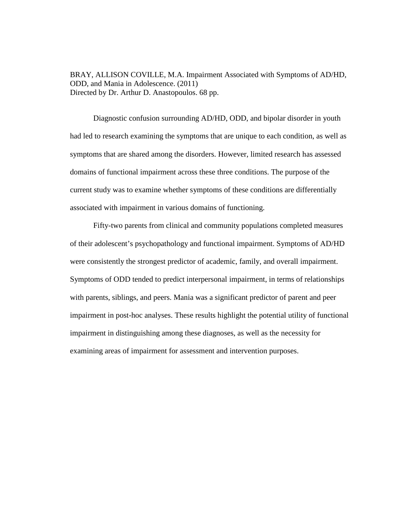BRAY, ALLISON COVILLE, M.A. Impairment Associated with Symptoms of AD/HD, ODD, and Mania in Adolescence. (2011) Directed by Dr. Arthur D. Anastopoulos. 68 pp.

Diagnostic confusion surrounding AD/HD, ODD, and bipolar disorder in youth had led to research examining the symptoms that are unique to each condition, as well as symptoms that are shared among the disorders. However, limited research has assessed domains of functional impairment across these three conditions. The purpose of the current study was to examine whether symptoms of these conditions are differentially associated with impairment in various domains of functioning.

Fifty-two parents from clinical and community populations completed measures of their adolescent's psychopathology and functional impairment. Symptoms of AD/HD were consistently the strongest predictor of academic, family, and overall impairment. Symptoms of ODD tended to predict interpersonal impairment, in terms of relationships with parents, siblings, and peers. Mania was a significant predictor of parent and peer impairment in post-hoc analyses. These results highlight the potential utility of functional impairment in distinguishing among these diagnoses, as well as the necessity for examining areas of impairment for assessment and intervention purposes.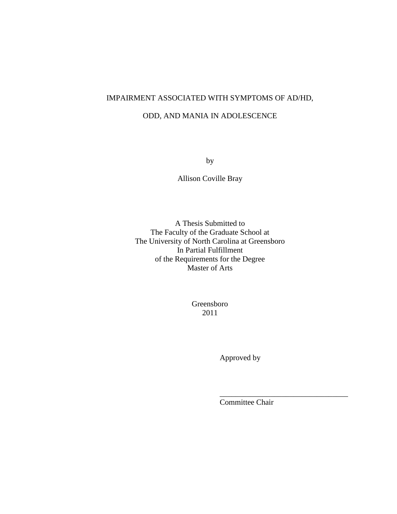# IMPAIRMENT ASSOCIATED WITH SYMPTOMS OF AD/HD,

## ODD, AND MANIA IN ADOLESCENCE

by

Allison Coville Bray

A Thesis Submitted to The Faculty of the Graduate School at The University of North Carolina at Greensboro In Partial Fulfillment of the Requirements for the Degree Master of Arts

> Greensboro 2011

 $\overline{\phantom{a}}$  , and the contract of the contract of the contract of the contract of the contract of the contract of the contract of the contract of the contract of the contract of the contract of the contract of the contrac

Approved by

Committee Chair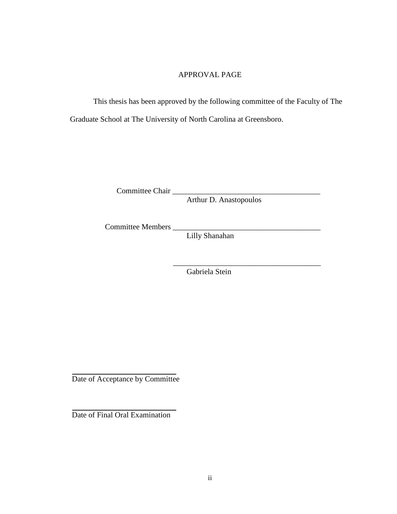## APPROVAL PAGE

 This thesis has been approved by the following committee of the Faculty of The Graduate School at The University of North Carolina at Greensboro.

Committee Chair \_\_\_\_\_\_\_\_\_\_\_\_\_\_\_\_\_\_\_\_\_\_\_\_\_\_\_\_\_\_\_\_\_\_\_\_\_\_

Arthur D. Anastopoulos

Committee Members

Lilly Shanahan

Gabriela Stein

\_\_\_\_\_\_\_\_\_\_\_\_\_\_\_\_\_\_\_\_\_\_\_\_\_\_\_\_\_\_\_\_\_\_\_\_\_\_

Date of Acceptance by Committee

Date of Final Oral Examination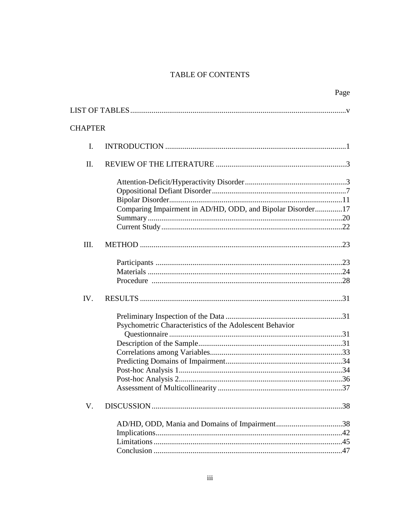# **TABLE OF CONTENTS**

|                |                                                            | Page |
|----------------|------------------------------------------------------------|------|
|                |                                                            |      |
| <b>CHAPTER</b> |                                                            |      |
|                |                                                            |      |
| $\mathbf{I}$ . |                                                            |      |
| II.            |                                                            |      |
|                |                                                            |      |
|                |                                                            |      |
|                |                                                            |      |
|                | Comparing Impairment in AD/HD, ODD, and Bipolar Disorder17 |      |
|                |                                                            |      |
|                |                                                            |      |
| III.           |                                                            |      |
|                |                                                            |      |
|                |                                                            |      |
|                |                                                            |      |
| IV.            |                                                            |      |
|                |                                                            |      |
|                | Psychometric Characteristics of the Adolescent Behavior    |      |
|                |                                                            |      |
|                |                                                            |      |
|                |                                                            |      |
|                |                                                            |      |
|                |                                                            |      |
|                |                                                            |      |
|                |                                                            |      |
| V.             |                                                            |      |
|                |                                                            |      |
|                |                                                            |      |
|                |                                                            |      |
|                |                                                            |      |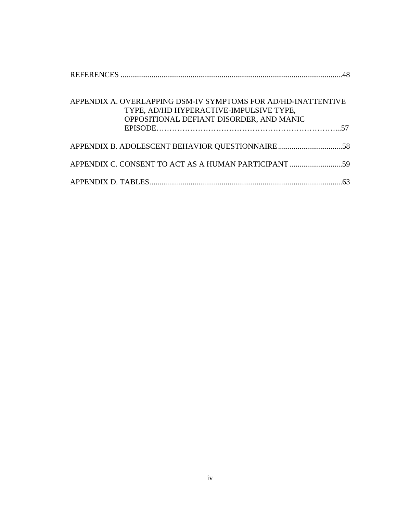| APPENDIX A. OVERLAPPING DSM-IV SYMPTOMS FOR AD/HD-INATTENTIVE |  |
|---------------------------------------------------------------|--|
| TYPE, AD/HD HYPERACTIVE-IMPULSIVE TYPE,                       |  |
| OPPOSITIONAL DEFIANT DISORDER, AND MANIC                      |  |
|                                                               |  |
|                                                               |  |
|                                                               |  |
|                                                               |  |
|                                                               |  |
|                                                               |  |
|                                                               |  |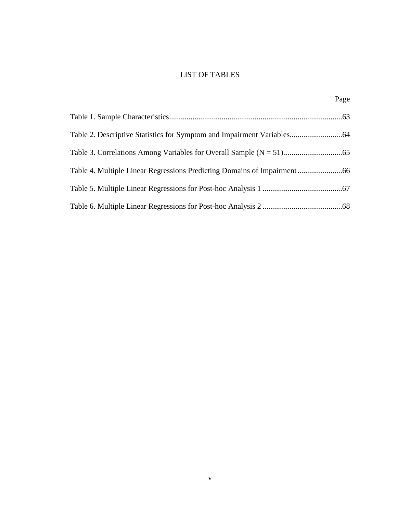# LIST OF TABLES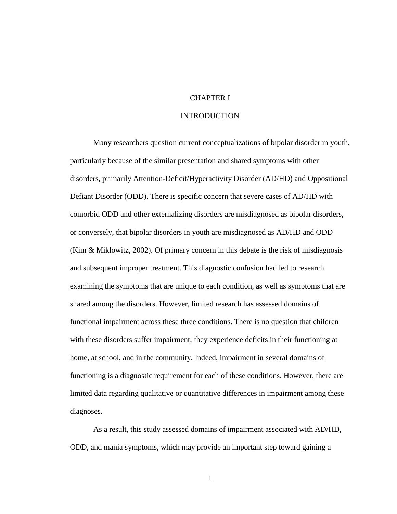# CHAPTER I

#### INTRODUCTION

Many researchers question current conceptualizations of bipolar disorder in youth, particularly because of the similar presentation and shared symptoms with other disorders, primarily Attention-Deficit/Hyperactivity Disorder (AD/HD) and Oppositional Defiant Disorder (ODD). There is specific concern that severe cases of AD/HD with comorbid ODD and other externalizing disorders are misdiagnosed as bipolar disorders, or conversely, that bipolar disorders in youth are misdiagnosed as AD/HD and ODD (Kim & Miklowitz, 2002). Of primary concern in this debate is the risk of misdiagnosis and subsequent improper treatment. This diagnostic confusion had led to research examining the symptoms that are unique to each condition, as well as symptoms that are shared among the disorders. However, limited research has assessed domains of functional impairment across these three conditions. There is no question that children with these disorders suffer impairment; they experience deficits in their functioning at home, at school, and in the community. Indeed, impairment in several domains of functioning is a diagnostic requirement for each of these conditions. However, there are limited data regarding qualitative or quantitative differences in impairment among these diagnoses.

As a result, this study assessed domains of impairment associated with AD/HD, ODD, and mania symptoms, which may provide an important step toward gaining a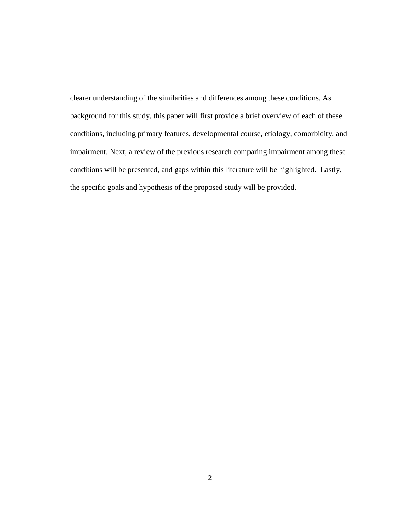clearer understanding of the similarities and differences among these conditions. As background for this study, this paper will first provide a brief overview of each of these conditions, including primary features, developmental course, etiology, comorbidity, and impairment. Next, a review of the previous research comparing impairment among these conditions will be presented, and gaps within this literature will be highlighted. Lastly, the specific goals and hypothesis of the proposed study will be provided.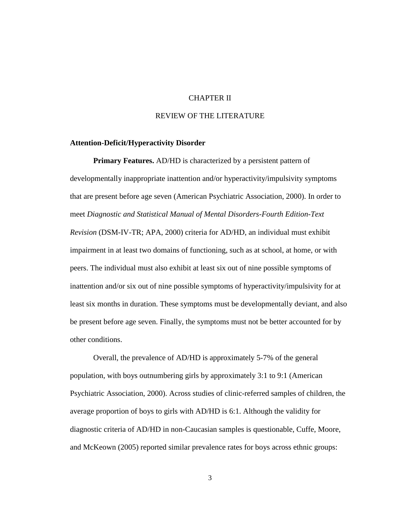# CHAPTER II

## REVIEW OF THE LITERATURE

#### **Attention-Deficit/Hyperactivity Disorder**

**Primary Features.** AD/HD is characterized by a persistent pattern of developmentally inappropriate inattention and/or hyperactivity/impulsivity symptoms that are present before age seven (American Psychiatric Association, 2000). In order to meet *Diagnostic and Statistical Manual of Mental Disorders-Fourth Edition-Text Revision* (DSM-IV-TR; APA, 2000) criteria for AD/HD, an individual must exhibit impairment in at least two domains of functioning, such as at school, at home, or with peers. The individual must also exhibit at least six out of nine possible symptoms of inattention and/or six out of nine possible symptoms of hyperactivity/impulsivity for at least six months in duration. These symptoms must be developmentally deviant, and also be present before age seven. Finally, the symptoms must not be better accounted for by other conditions.

Overall, the prevalence of AD/HD is approximately 5-7% of the general population, with boys outnumbering girls by approximately 3:1 to 9:1 (American Psychiatric Association, 2000). Across studies of clinic-referred samples of children, the average proportion of boys to girls with AD/HD is 6:1. Although the validity for diagnostic criteria of AD/HD in non-Caucasian samples is questionable, Cuffe, Moore, and McKeown (2005) reported similar prevalence rates for boys across ethnic groups: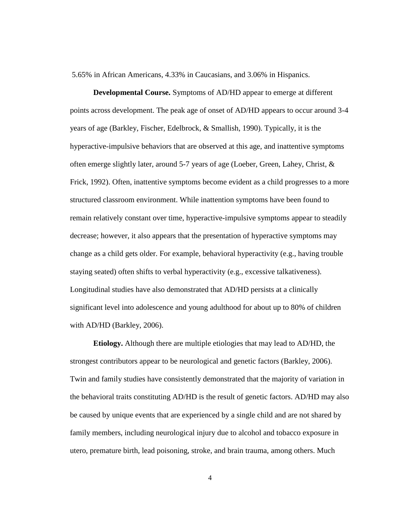5.65% in African Americans, 4.33% in Caucasians, and 3.06% in Hispanics.

**Developmental Course.** Symptoms of AD/HD appear to emerge at different points across development. The peak age of onset of AD/HD appears to occur around 3-4 years of age (Barkley, Fischer, Edelbrock, & Smallish, 1990). Typically, it is the hyperactive-impulsive behaviors that are observed at this age, and inattentive symptoms often emerge slightly later, around 5-7 years of age (Loeber, Green, Lahey, Christ, & Frick, 1992). Often, inattentive symptoms become evident as a child progresses to a more structured classroom environment. While inattention symptoms have been found to remain relatively constant over time, hyperactive-impulsive symptoms appear to steadily decrease; however, it also appears that the presentation of hyperactive symptoms may change as a child gets older. For example, behavioral hyperactivity (e.g., having trouble staying seated) often shifts to verbal hyperactivity (e.g., excessive talkativeness). Longitudinal studies have also demonstrated that AD/HD persists at a clinically significant level into adolescence and young adulthood for about up to 80% of children with AD/HD (Barkley, 2006).

**Etiology.** Although there are multiple etiologies that may lead to AD/HD, the strongest contributors appear to be neurological and genetic factors (Barkley, 2006). Twin and family studies have consistently demonstrated that the majority of variation in the behavioral traits constituting AD/HD is the result of genetic factors. AD/HD may also be caused by unique events that are experienced by a single child and are not shared by family members, including neurological injury due to alcohol and tobacco exposure in utero, premature birth, lead poisoning, stroke, and brain trauma, among others. Much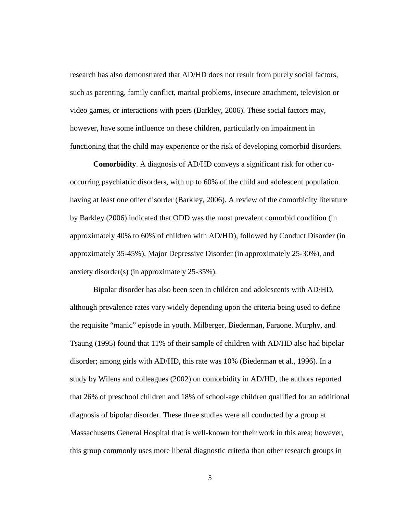research has also demonstrated that AD/HD does not result from purely social factors, such as parenting, family conflict, marital problems, insecure attachment, television or video games, or interactions with peers (Barkley, 2006). These social factors may, however, have some influence on these children, particularly on impairment in functioning that the child may experience or the risk of developing comorbid disorders.

**Comorbidity**. A diagnosis of AD/HD conveys a significant risk for other cooccurring psychiatric disorders, with up to 60% of the child and adolescent population having at least one other disorder (Barkley, 2006). A review of the comorbidity literature by Barkley (2006) indicated that ODD was the most prevalent comorbid condition (in approximately 40% to 60% of children with AD/HD), followed by Conduct Disorder (in approximately 35-45%), Major Depressive Disorder (in approximately 25-30%), and anxiety disorder(s) (in approximately 25-35%).

Bipolar disorder has also been seen in children and adolescents with AD/HD, although prevalence rates vary widely depending upon the criteria being used to define the requisite "manic" episode in youth. Milberger, Biederman, Faraone, Murphy, and Tsaung (1995) found that 11% of their sample of children with AD/HD also had bipolar disorder; among girls with AD/HD, this rate was 10% (Biederman et al., 1996). In a study by Wilens and colleagues (2002) on comorbidity in AD/HD, the authors reported that 26% of preschool children and 18% of school-age children qualified for an additional diagnosis of bipolar disorder. These three studies were all conducted by a group at Massachusetts General Hospital that is well-known for their work in this area; however, this group commonly uses more liberal diagnostic criteria than other research groups in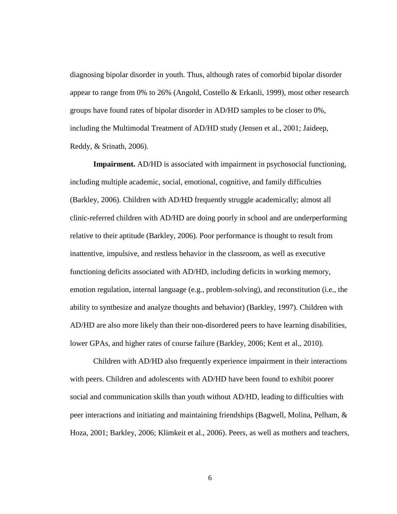diagnosing bipolar disorder in youth. Thus, although rates of comorbid bipolar disorder appear to range from 0% to 26% (Angold, Costello & Erkanli, 1999), most other research groups have found rates of bipolar disorder in AD/HD samples to be closer to 0%, including the Multimodal Treatment of AD/HD study (Jensen et al., 2001; Jaideep, Reddy, & Srinath, 2006).

**Impairment.** AD/HD is associated with impairment in psychosocial functioning, including multiple academic, social, emotional, cognitive, and family difficulties (Barkley, 2006). Children with AD/HD frequently struggle academically; almost all clinic-referred children with AD/HD are doing poorly in school and are underperforming relative to their aptitude (Barkley, 2006). Poor performance is thought to result from inattentive, impulsive, and restless behavior in the classroom, as well as executive functioning deficits associated with AD/HD, including deficits in working memory, emotion regulation, internal language (e.g., problem-solving), and reconstitution (i.e., the ability to synthesize and analyze thoughts and behavior) (Barkley, 1997). Children with AD/HD are also more likely than their non-disordered peers to have learning disabilities, lower GPAs, and higher rates of course failure (Barkley, 2006; Kent et al., 2010).

Children with AD/HD also frequently experience impairment in their interactions with peers. Children and adolescents with AD/HD have been found to exhibit poorer social and communication skills than youth without AD/HD, leading to difficulties with peer interactions and initiating and maintaining friendships (Bagwell, Molina, Pelham, & Hoza, 2001; Barkley, 2006; Klimkeit et al., 2006). Peers, as well as mothers and teachers,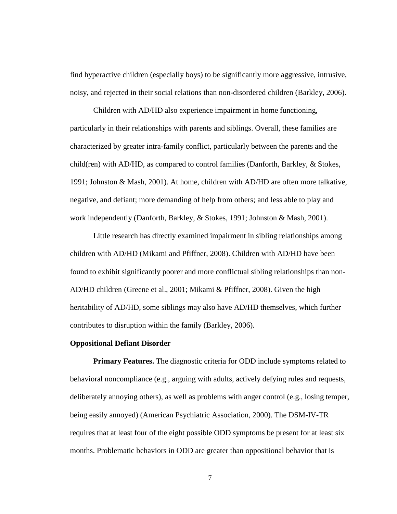find hyperactive children (especially boys) to be significantly more aggressive, intrusive, noisy, and rejected in their social relations than non-disordered children (Barkley, 2006).

Children with AD/HD also experience impairment in home functioning, particularly in their relationships with parents and siblings. Overall, these families are characterized by greater intra-family conflict, particularly between the parents and the child(ren) with AD/HD, as compared to control families (Danforth, Barkley, & Stokes, 1991; Johnston & Mash, 2001). At home, children with AD/HD are often more talkative, negative, and defiant; more demanding of help from others; and less able to play and work independently (Danforth, Barkley, & Stokes, 1991; Johnston & Mash, 2001).

Little research has directly examined impairment in sibling relationships among children with AD/HD (Mikami and Pfiffner, 2008). Children with AD/HD have been found to exhibit significantly poorer and more conflictual sibling relationships than non-AD/HD children (Greene et al., 2001; Mikami & Pfiffner, 2008). Given the high heritability of AD/HD, some siblings may also have AD/HD themselves, which further contributes to disruption within the family (Barkley, 2006).

#### **Oppositional Defiant Disorder**

**Primary Features.** The diagnostic criteria for ODD include symptoms related to behavioral noncompliance (e.g., arguing with adults, actively defying rules and requests, deliberately annoying others), as well as problems with anger control (e.g., losing temper, being easily annoyed) (American Psychiatric Association, 2000). The DSM-IV-TR requires that at least four of the eight possible ODD symptoms be present for at least six months. Problematic behaviors in ODD are greater than oppositional behavior that is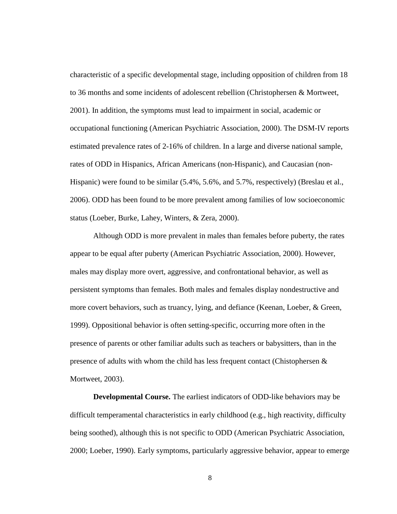characteristic of a specific developmental stage, including opposition of children from 18 to 36 months and some incidents of adolescent rebellion (Christophersen & Mortweet, 2001). In addition, the symptoms must lead to impairment in social, academic or occupational functioning (American Psychiatric Association, 2000). The DSM-IV reports estimated prevalence rates of 2-16% of children. In a large and diverse national sample, rates of ODD in Hispanics, African Americans (non-Hispanic), and Caucasian (non-Hispanic) were found to be similar (5.4%, 5.6%, and 5.7%, respectively) (Breslau et al., 2006). ODD has been found to be more prevalent among families of low socioeconomic status (Loeber, Burke, Lahey, Winters, & Zera, 2000).

Although ODD is more prevalent in males than females before puberty, the rates appear to be equal after puberty (American Psychiatric Association, 2000). However, males may display more overt, aggressive, and confrontational behavior, as well as persistent symptoms than females. Both males and females display nondestructive and more covert behaviors, such as truancy, lying, and defiance (Keenan, Loeber, & Green, 1999). Oppositional behavior is often setting-specific, occurring more often in the presence of parents or other familiar adults such as teachers or babysitters, than in the presence of adults with whom the child has less frequent contact (Chistophersen  $\&$ Mortweet, 2003).

**Developmental Course.** The earliest indicators of ODD-like behaviors may be difficult temperamental characteristics in early childhood (e.g., high reactivity, difficulty being soothed), although this is not specific to ODD (American Psychiatric Association, 2000; Loeber, 1990). Early symptoms, particularly aggressive behavior, appear to emerge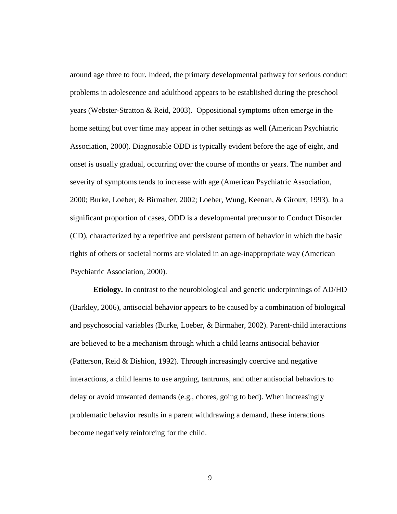around age three to four. Indeed, the primary developmental pathway for serious conduct problems in adolescence and adulthood appears to be established during the preschool years (Webster-Stratton & Reid, 2003). Oppositional symptoms often emerge in the home setting but over time may appear in other settings as well (American Psychiatric Association, 2000). Diagnosable ODD is typically evident before the age of eight, and onset is usually gradual, occurring over the course of months or years. The number and severity of symptoms tends to increase with age (American Psychiatric Association, 2000; Burke, Loeber, & Birmaher, 2002; Loeber, Wung, Keenan, & Giroux, 1993). In a significant proportion of cases, ODD is a developmental precursor to Conduct Disorder (CD), characterized by a repetitive and persistent pattern of behavior in which the basic rights of others or societal norms are violated in an age-inappropriate way (American Psychiatric Association, 2000).

**Etiology.** In contrast to the neurobiological and genetic underpinnings of AD/HD (Barkley, 2006), antisocial behavior appears to be caused by a combination of biological and psychosocial variables (Burke, Loeber, & Birmaher, 2002). Parent-child interactions are believed to be a mechanism through which a child learns antisocial behavior (Patterson, Reid & Dishion, 1992). Through increasingly coercive and negative interactions, a child learns to use arguing, tantrums, and other antisocial behaviors to delay or avoid unwanted demands (e.g., chores, going to bed). When increasingly problematic behavior results in a parent withdrawing a demand, these interactions become negatively reinforcing for the child.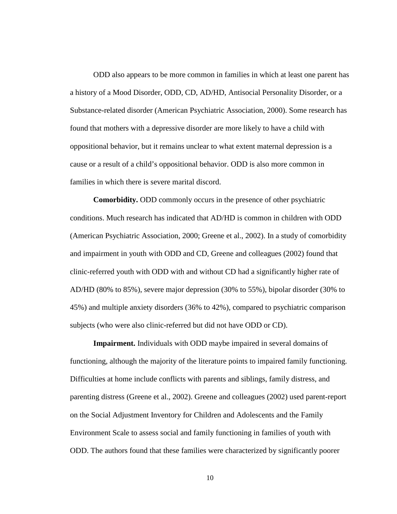ODD also appears to be more common in families in which at least one parent has a history of a Mood Disorder, ODD, CD, AD/HD, Antisocial Personality Disorder, or a Substance-related disorder (American Psychiatric Association, 2000). Some research has found that mothers with a depressive disorder are more likely to have a child with oppositional behavior, but it remains unclear to what extent maternal depression is a cause or a result of a child's oppositional behavior. ODD is also more common in families in which there is severe marital discord.

**Comorbidity.** ODD commonly occurs in the presence of other psychiatric conditions. Much research has indicated that AD/HD is common in children with ODD (American Psychiatric Association, 2000; Greene et al., 2002). In a study of comorbidity and impairment in youth with ODD and CD, Greene and colleagues (2002) found that clinic-referred youth with ODD with and without CD had a significantly higher rate of AD/HD (80% to 85%), severe major depression (30% to 55%), bipolar disorder (30% to 45%) and multiple anxiety disorders (36% to 42%), compared to psychiatric comparison subjects (who were also clinic-referred but did not have ODD or CD).

**Impairment.** Individuals with ODD maybe impaired in several domains of functioning, although the majority of the literature points to impaired family functioning. Difficulties at home include conflicts with parents and siblings, family distress, and parenting distress (Greene et al., 2002). Greene and colleagues (2002) used parent-report on the Social Adjustment Inventory for Children and Adolescents and the Family Environment Scale to assess social and family functioning in families of youth with ODD. The authors found that these families were characterized by significantly poorer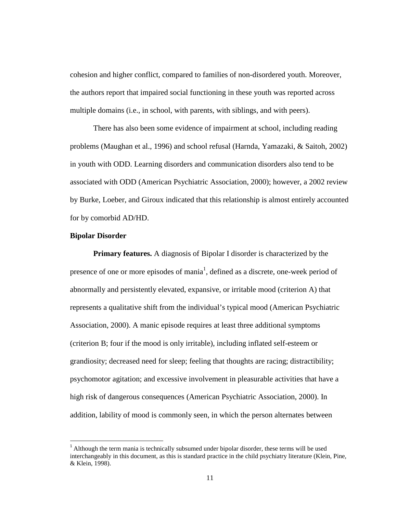cohesion and higher conflict, compared to families of non-disordered youth. Moreover, the authors report that impaired social functioning in these youth was reported across multiple domains (i.e., in school, with parents, with siblings, and with peers).

There has also been some evidence of impairment at school, including reading problems (Maughan et al., 1996) and school refusal (Harnda, Yamazaki, & Saitoh, 2002) in youth with ODD. Learning disorders and communication disorders also tend to be associated with ODD (American Psychiatric Association, 2000); however, a 2002 review by Burke, Loeber, and Giroux indicated that this relationship is almost entirely accounted for by comorbid AD/HD.

#### **Bipolar Disorder**

 $\overline{a}$ 

**Primary features.** A diagnosis of Bipolar I disorder is characterized by the presence of one or more episodes of mania<sup>1</sup>, defined as a discrete, one-week period of abnormally and persistently elevated, expansive, or irritable mood (criterion A) that represents a qualitative shift from the individual's typical mood (American Psychiatric Association, 2000). A manic episode requires at least three additional symptoms (criterion B; four if the mood is only irritable), including inflated self-esteem or grandiosity; decreased need for sleep; feeling that thoughts are racing; distractibility; psychomotor agitation; and excessive involvement in pleasurable activities that have a high risk of dangerous consequences (American Psychiatric Association, 2000). In addition, lability of mood is commonly seen, in which the person alternates between

 $1$  Although the term mania is technically subsumed under bipolar disorder, these terms will be used interchangeably in this document, as this is standard practice in the child psychiatry literature (Klein, Pine, & Klein, 1998).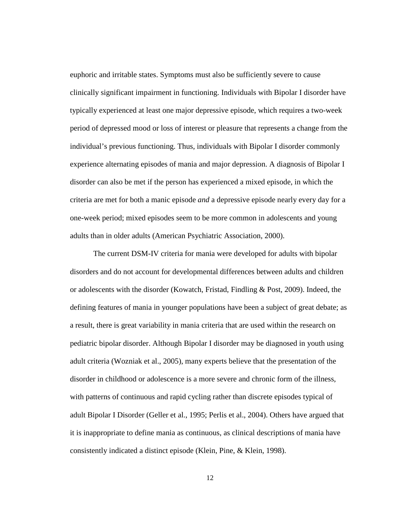euphoric and irritable states. Symptoms must also be sufficiently severe to cause clinically significant impairment in functioning. Individuals with Bipolar I disorder have typically experienced at least one major depressive episode, which requires a two-week period of depressed mood or loss of interest or pleasure that represents a change from the individual's previous functioning. Thus, individuals with Bipolar I disorder commonly experience alternating episodes of mania and major depression. A diagnosis of Bipolar I disorder can also be met if the person has experienced a mixed episode, in which the criteria are met for both a manic episode *and* a depressive episode nearly every day for a one-week period; mixed episodes seem to be more common in adolescents and young adults than in older adults (American Psychiatric Association, 2000).

The current DSM-IV criteria for mania were developed for adults with bipolar disorders and do not account for developmental differences between adults and children or adolescents with the disorder (Kowatch, Fristad, Findling & Post, 2009). Indeed, the defining features of mania in younger populations have been a subject of great debate; as a result, there is great variability in mania criteria that are used within the research on pediatric bipolar disorder. Although Bipolar I disorder may be diagnosed in youth using adult criteria (Wozniak et al., 2005), many experts believe that the presentation of the disorder in childhood or adolescence is a more severe and chronic form of the illness, with patterns of continuous and rapid cycling rather than discrete episodes typical of adult Bipolar I Disorder (Geller et al., 1995; Perlis et al., 2004). Others have argued that it is inappropriate to define mania as continuous, as clinical descriptions of mania have consistently indicated a distinct episode (Klein, Pine, & Klein, 1998).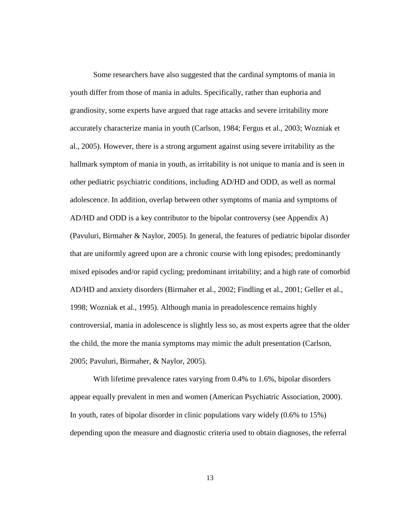Some researchers have also suggested that the cardinal symptoms of mania in youth differ from those of mania in adults. Specifically, rather than euphoria and grandiosity, some experts have argued that rage attacks and severe irritability more accurately characterize mania in youth (Carlson, 1984; Fergus et al., 2003; Wozniak et al., 2005). However, there is a strong argument against using severe irritability as the hallmark symptom of mania in youth, as irritability is not unique to mania and is seen in other pediatric psychiatric conditions, including AD/HD and ODD, as well as normal adolescence. In addition, overlap between other symptoms of mania and symptoms of AD/HD and ODD is a key contributor to the bipolar controversy (see Appendix A) (Pavuluri, Birmaher & Naylor, 2005). In general, the features of pediatric bipolar disorder that are uniformly agreed upon are a chronic course with long episodes; predominantly mixed episodes and/or rapid cycling; predominant irritability; and a high rate of comorbid AD/HD and anxiety disorders (Birmaher et al., 2002; Findling et al., 2001; Geller et al., 1998; Wozniak et al., 1995). Although mania in preadolescence remains highly controversial, mania in adolescence is slightly less so, as most experts agree that the older the child, the more the mania symptoms may mimic the adult presentation (Carlson, 2005; Pavuluri, Birmaher, & Naylor, 2005).

With lifetime prevalence rates varying from 0.4% to 1.6%, bipolar disorders appear equally prevalent in men and women (American Psychiatric Association, 2000). In youth, rates of bipolar disorder in clinic populations vary widely (0.6% to 15%) depending upon the measure and diagnostic criteria used to obtain diagnoses, the referral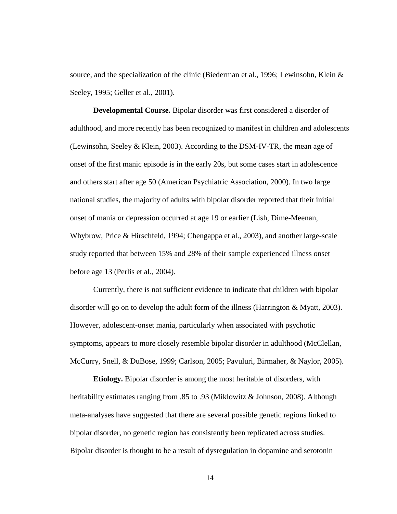source, and the specialization of the clinic (Biederman et al., 1996; Lewinsohn, Klein & Seeley, 1995; Geller et al., 2001).

**Developmental Course.** Bipolar disorder was first considered a disorder of adulthood, and more recently has been recognized to manifest in children and adolescents (Lewinsohn, Seeley & Klein, 2003). According to the DSM-IV-TR, the mean age of onset of the first manic episode is in the early 20s, but some cases start in adolescence and others start after age 50 (American Psychiatric Association, 2000). In two large national studies, the majority of adults with bipolar disorder reported that their initial onset of mania or depression occurred at age 19 or earlier (Lish, Dime-Meenan, Whybrow, Price & Hirschfeld, 1994; Chengappa et al., 2003), and another large-scale study reported that between 15% and 28% of their sample experienced illness onset before age 13 (Perlis et al., 2004).

Currently, there is not sufficient evidence to indicate that children with bipolar disorder will go on to develop the adult form of the illness (Harrington & Myatt, 2003). However, adolescent-onset mania, particularly when associated with psychotic symptoms, appears to more closely resemble bipolar disorder in adulthood (McClellan, McCurry, Snell, & DuBose, 1999; Carlson, 2005; Pavuluri, Birmaher, & Naylor, 2005).

**Etiology.** Bipolar disorder is among the most heritable of disorders, with heritability estimates ranging from .85 to .93 (Miklowitz & Johnson, 2008). Although meta-analyses have suggested that there are several possible genetic regions linked to bipolar disorder, no genetic region has consistently been replicated across studies. Bipolar disorder is thought to be a result of dysregulation in dopamine and serotonin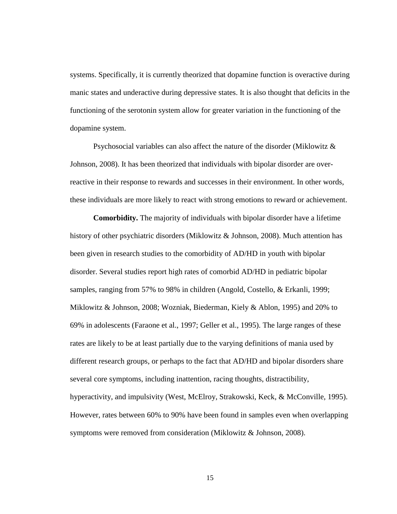systems. Specifically, it is currently theorized that dopamine function is overactive during manic states and underactive during depressive states. It is also thought that deficits in the functioning of the serotonin system allow for greater variation in the functioning of the dopamine system.

Psychosocial variables can also affect the nature of the disorder (Miklowitz & Johnson, 2008). It has been theorized that individuals with bipolar disorder are overreactive in their response to rewards and successes in their environment. In other words, these individuals are more likely to react with strong emotions to reward or achievement.

**Comorbidity.** The majority of individuals with bipolar disorder have a lifetime history of other psychiatric disorders (Miklowitz & Johnson, 2008). Much attention has been given in research studies to the comorbidity of AD/HD in youth with bipolar disorder. Several studies report high rates of comorbid AD/HD in pediatric bipolar samples, ranging from 57% to 98% in children (Angold, Costello, & Erkanli, 1999; Miklowitz & Johnson, 2008; Wozniak, Biederman, Kiely & Ablon, 1995) and 20% to 69% in adolescents (Faraone et al., 1997; Geller et al., 1995). The large ranges of these rates are likely to be at least partially due to the varying definitions of mania used by different research groups, or perhaps to the fact that AD/HD and bipolar disorders share several core symptoms, including inattention, racing thoughts, distractibility, hyperactivity, and impulsivity (West, McElroy, Strakowski, Keck, & McConville, 1995). However, rates between 60% to 90% have been found in samples even when overlapping symptoms were removed from consideration (Miklowitz & Johnson, 2008).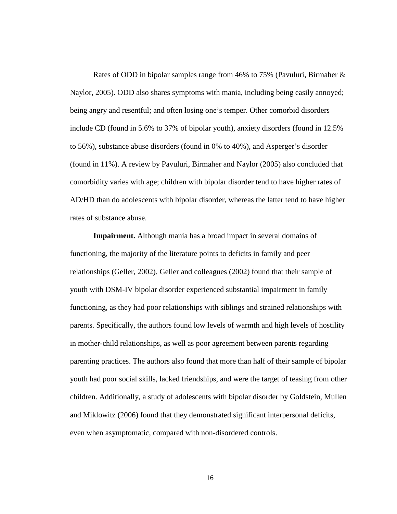Rates of ODD in bipolar samples range from 46% to 75% (Pavuluri, Birmaher & Naylor, 2005). ODD also shares symptoms with mania, including being easily annoyed; being angry and resentful; and often losing one's temper. Other comorbid disorders include CD (found in 5.6% to 37% of bipolar youth), anxiety disorders (found in 12.5% to 56%), substance abuse disorders (found in 0% to 40%), and Asperger's disorder (found in 11%). A review by Pavuluri, Birmaher and Naylor (2005) also concluded that comorbidity varies with age; children with bipolar disorder tend to have higher rates of AD/HD than do adolescents with bipolar disorder, whereas the latter tend to have higher rates of substance abuse.

**Impairment.** Although mania has a broad impact in several domains of functioning, the majority of the literature points to deficits in family and peer relationships (Geller, 2002). Geller and colleagues (2002) found that their sample of youth with DSM-IV bipolar disorder experienced substantial impairment in family functioning, as they had poor relationships with siblings and strained relationships with parents. Specifically, the authors found low levels of warmth and high levels of hostility in mother-child relationships, as well as poor agreement between parents regarding parenting practices. The authors also found that more than half of their sample of bipolar youth had poor social skills, lacked friendships, and were the target of teasing from other children. Additionally, a study of adolescents with bipolar disorder by Goldstein, Mullen and Miklowitz (2006) found that they demonstrated significant interpersonal deficits, even when asymptomatic, compared with non-disordered controls.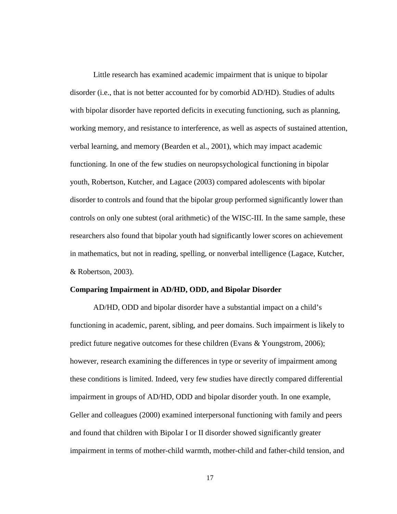Little research has examined academic impairment that is unique to bipolar disorder (i.e., that is not better accounted for by comorbid AD/HD). Studies of adults with bipolar disorder have reported deficits in executing functioning, such as planning, working memory, and resistance to interference, as well as aspects of sustained attention, verbal learning, and memory (Bearden et al., 2001), which may impact academic functioning. In one of the few studies on neuropsychological functioning in bipolar youth, Robertson, Kutcher, and Lagace (2003) compared adolescents with bipolar disorder to controls and found that the bipolar group performed significantly lower than controls on only one subtest (oral arithmetic) of the WISC-III. In the same sample, these researchers also found that bipolar youth had significantly lower scores on achievement in mathematics, but not in reading, spelling, or nonverbal intelligence (Lagace, Kutcher, & Robertson, 2003).

#### **Comparing Impairment in AD/HD, ODD, and Bipolar Disorder**

AD/HD, ODD and bipolar disorder have a substantial impact on a child's functioning in academic, parent, sibling, and peer domains. Such impairment is likely to predict future negative outcomes for these children (Evans & Youngstrom, 2006); however, research examining the differences in type or severity of impairment among these conditions is limited. Indeed, very few studies have directly compared differential impairment in groups of AD/HD, ODD and bipolar disorder youth. In one example, Geller and colleagues (2000) examined interpersonal functioning with family and peers and found that children with Bipolar I or II disorder showed significantly greater impairment in terms of mother-child warmth, mother-child and father-child tension, and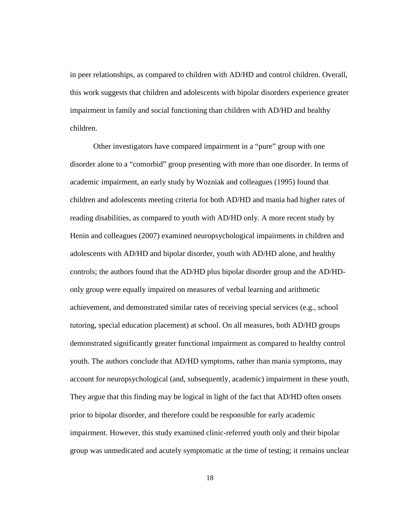in peer relationships, as compared to children with AD/HD and control children. Overall, this work suggests that children and adolescents with bipolar disorders experience greater impairment in family and social functioning than children with AD/HD and healthy children.

Other investigators have compared impairment in a "pure" group with one disorder alone to a "comorbid" group presenting with more than one disorder. In terms of academic impairment, an early study by Wozniak and colleagues (1995) found that children and adolescents meeting criteria for both AD/HD and mania had higher rates of reading disabilities, as compared to youth with AD/HD only. A more recent study by Henin and colleagues (2007) examined neuropsychological impairments in children and adolescents with AD/HD and bipolar disorder, youth with AD/HD alone, and healthy controls; the authors found that the AD/HD plus bipolar disorder group and the AD/HDonly group were equally impaired on measures of verbal learning and arithmetic achievement, and demonstrated similar rates of receiving special services (e.g., school tutoring, special education placement) at school. On all measures, both AD/HD groups demonstrated significantly greater functional impairment as compared to healthy control youth. The authors conclude that AD/HD symptoms, rather than mania symptoms, may account for neuropsychological (and, subsequently, academic) impairment in these youth. They argue that this finding may be logical in light of the fact that AD/HD often onsets prior to bipolar disorder, and therefore could be responsible for early academic impairment. However, this study examined clinic-referred youth only and their bipolar group was unmedicated and acutely symptomatic at the time of testing; it remains unclear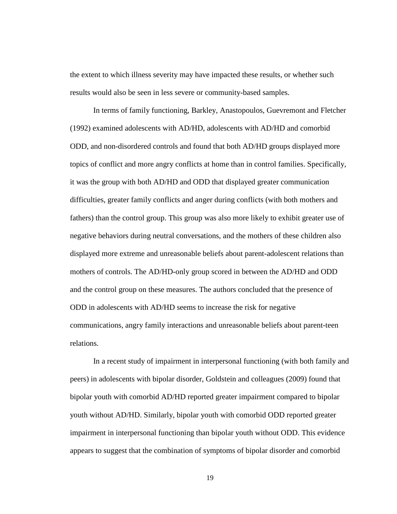the extent to which illness severity may have impacted these results, or whether such results would also be seen in less severe or community-based samples.

In terms of family functioning, Barkley, Anastopoulos, Guevremont and Fletcher (1992) examined adolescents with AD/HD, adolescents with AD/HD and comorbid ODD, and non-disordered controls and found that both AD/HD groups displayed more topics of conflict and more angry conflicts at home than in control families. Specifically, it was the group with both AD/HD and ODD that displayed greater communication difficulties, greater family conflicts and anger during conflicts (with both mothers and fathers) than the control group. This group was also more likely to exhibit greater use of negative behaviors during neutral conversations, and the mothers of these children also displayed more extreme and unreasonable beliefs about parent-adolescent relations than mothers of controls. The AD/HD-only group scored in between the AD/HD and ODD and the control group on these measures. The authors concluded that the presence of ODD in adolescents with AD/HD seems to increase the risk for negative communications, angry family interactions and unreasonable beliefs about parent-teen relations.

In a recent study of impairment in interpersonal functioning (with both family and peers) in adolescents with bipolar disorder, Goldstein and colleagues (2009) found that bipolar youth with comorbid AD/HD reported greater impairment compared to bipolar youth without AD/HD. Similarly, bipolar youth with comorbid ODD reported greater impairment in interpersonal functioning than bipolar youth without ODD. This evidence appears to suggest that the combination of symptoms of bipolar disorder and comorbid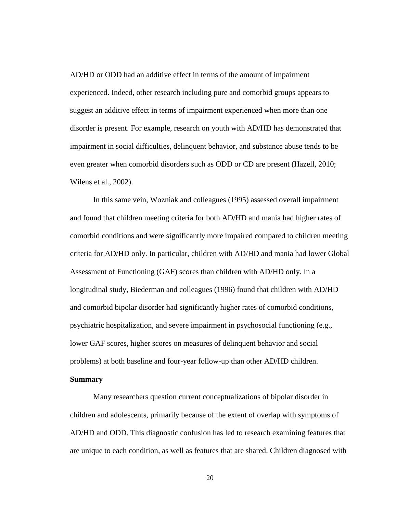AD/HD or ODD had an additive effect in terms of the amount of impairment experienced. Indeed, other research including pure and comorbid groups appears to suggest an additive effect in terms of impairment experienced when more than one disorder is present. For example, research on youth with AD/HD has demonstrated that impairment in social difficulties, delinquent behavior, and substance abuse tends to be even greater when comorbid disorders such as ODD or CD are present (Hazell, 2010; Wilens et al., 2002).

In this same vein, Wozniak and colleagues (1995) assessed overall impairment and found that children meeting criteria for both AD/HD and mania had higher rates of comorbid conditions and were significantly more impaired compared to children meeting criteria for AD/HD only. In particular, children with AD/HD and mania had lower Global Assessment of Functioning (GAF) scores than children with AD/HD only. In a longitudinal study, Biederman and colleagues (1996) found that children with AD/HD and comorbid bipolar disorder had significantly higher rates of comorbid conditions, psychiatric hospitalization, and severe impairment in psychosocial functioning (e.g., lower GAF scores, higher scores on measures of delinquent behavior and social problems) at both baseline and four-year follow-up than other AD/HD children.

## **Summary**

Many researchers question current conceptualizations of bipolar disorder in children and adolescents, primarily because of the extent of overlap with symptoms of AD/HD and ODD. This diagnostic confusion has led to research examining features that are unique to each condition, as well as features that are shared. Children diagnosed with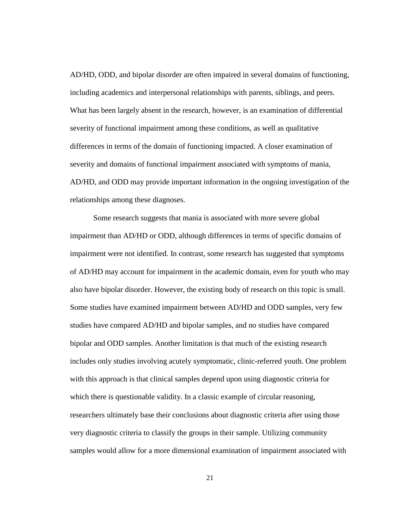AD/HD, ODD, and bipolar disorder are often impaired in several domains of functioning, including academics and interpersonal relationships with parents, siblings, and peers. What has been largely absent in the research, however, is an examination of differential severity of functional impairment among these conditions, as well as qualitative differences in terms of the domain of functioning impacted. A closer examination of severity and domains of functional impairment associated with symptoms of mania, AD/HD, and ODD may provide important information in the ongoing investigation of the relationships among these diagnoses.

Some research suggests that mania is associated with more severe global impairment than AD/HD or ODD, although differences in terms of specific domains of impairment were not identified. In contrast, some research has suggested that symptoms of AD/HD may account for impairment in the academic domain, even for youth who may also have bipolar disorder. However, the existing body of research on this topic is small. Some studies have examined impairment between AD/HD and ODD samples, very few studies have compared AD/HD and bipolar samples, and no studies have compared bipolar and ODD samples. Another limitation is that much of the existing research includes only studies involving acutely symptomatic, clinic-referred youth. One problem with this approach is that clinical samples depend upon using diagnostic criteria for which there is questionable validity. In a classic example of circular reasoning, researchers ultimately base their conclusions about diagnostic criteria after using those very diagnostic criteria to classify the groups in their sample. Utilizing community samples would allow for a more dimensional examination of impairment associated with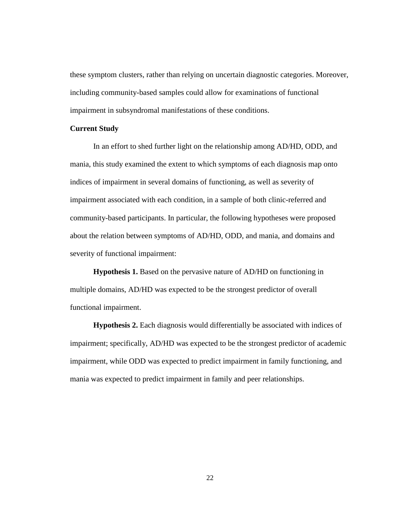these symptom clusters, rather than relying on uncertain diagnostic categories. Moreover, including community-based samples could allow for examinations of functional impairment in subsyndromal manifestations of these conditions.

#### **Current Study**

In an effort to shed further light on the relationship among AD/HD, ODD, and mania, this study examined the extent to which symptoms of each diagnosis map onto indices of impairment in several domains of functioning, as well as severity of impairment associated with each condition, in a sample of both clinic-referred and community-based participants. In particular, the following hypotheses were proposed about the relation between symptoms of AD/HD, ODD, and mania, and domains and severity of functional impairment:

**Hypothesis 1.** Based on the pervasive nature of AD/HD on functioning in multiple domains, AD/HD was expected to be the strongest predictor of overall functional impairment.

**Hypothesis 2.** Each diagnosis would differentially be associated with indices of impairment; specifically, AD/HD was expected to be the strongest predictor of academic impairment, while ODD was expected to predict impairment in family functioning, and mania was expected to predict impairment in family and peer relationships.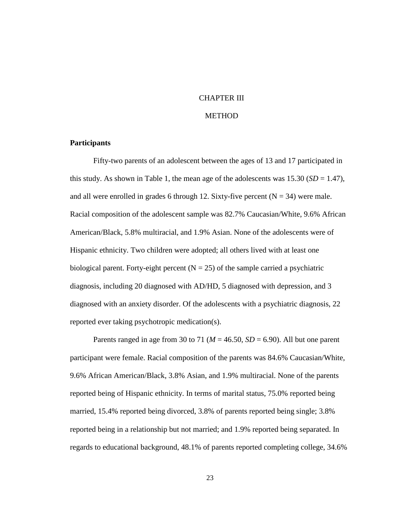## CHAPTER III

#### **METHOD**

### **Participants**

 Fifty-two parents of an adolescent between the ages of 13 and 17 participated in this study. As shown in Table 1, the mean age of the adolescents was  $15.30$  (*SD* = 1.47), and all were enrolled in grades 6 through 12. Sixty-five percent  $(N = 34)$  were male. Racial composition of the adolescent sample was 82.7% Caucasian/White, 9.6% African American/Black, 5.8% multiracial, and 1.9% Asian. None of the adolescents were of Hispanic ethnicity. Two children were adopted; all others lived with at least one biological parent. Forty-eight percent  $(N = 25)$  of the sample carried a psychiatric diagnosis, including 20 diagnosed with AD/HD, 5 diagnosed with depression, and 3 diagnosed with an anxiety disorder. Of the adolescents with a psychiatric diagnosis, 22 reported ever taking psychotropic medication(s).

Parents ranged in age from 30 to 71 ( $M = 46.50$ ,  $SD = 6.90$ ). All but one parent participant were female. Racial composition of the parents was 84.6% Caucasian/White, 9.6% African American/Black, 3.8% Asian, and 1.9% multiracial. None of the parents reported being of Hispanic ethnicity. In terms of marital status, 75.0% reported being married, 15.4% reported being divorced, 3.8% of parents reported being single; 3.8% reported being in a relationship but not married; and 1.9% reported being separated. In regards to educational background, 48.1% of parents reported completing college, 34.6%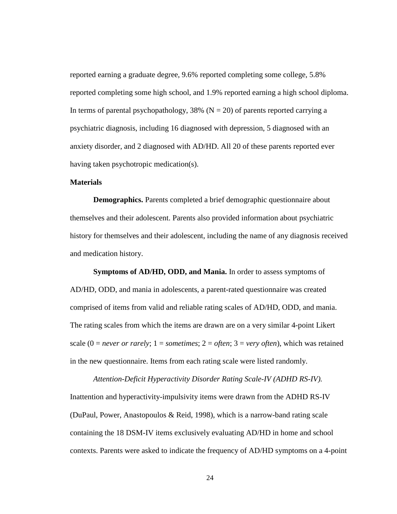reported earning a graduate degree, 9.6% reported completing some college, 5.8% reported completing some high school, and 1.9% reported earning a high school diploma. In terms of parental psychopathology, 38% ( $N = 20$ ) of parents reported carrying a psychiatric diagnosis, including 16 diagnosed with depression, 5 diagnosed with an anxiety disorder, and 2 diagnosed with AD/HD. All 20 of these parents reported ever having taken psychotropic medication(s).

## **Materials**

**Demographics.** Parents completed a brief demographic questionnaire about themselves and their adolescent. Parents also provided information about psychiatric history for themselves and their adolescent, including the name of any diagnosis received and medication history.

**Symptoms of AD/HD, ODD, and Mania.** In order to assess symptoms of AD/HD, ODD, and mania in adolescents, a parent-rated questionnaire was created comprised of items from valid and reliable rating scales of AD/HD, ODD, and mania. The rating scales from which the items are drawn are on a very similar 4-point Likert scale  $(0 = never \ or \ rarely; 1 = sometimes; 2 = often; 3 = very \ often)$ , which was retained in the new questionnaire. Items from each rating scale were listed randomly.

*Attention-Deficit Hyperactivity Disorder Rating Scale-IV (ADHD RS-IV).*  Inattention and hyperactivity-impulsivity items were drawn from the ADHD RS-IV (DuPaul, Power, Anastopoulos & Reid, 1998), which is a narrow-band rating scale containing the 18 DSM-IV items exclusively evaluating AD/HD in home and school contexts. Parents were asked to indicate the frequency of AD/HD symptoms on a 4-point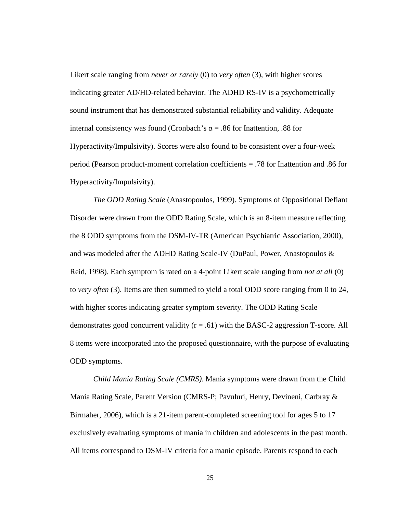Likert scale ranging from *never or rarely* (0) to *very often* (3), with higher scores indicating greater AD/HD-related behavior. The ADHD RS-IV is a psychometrically sound instrument that has demonstrated substantial reliability and validity. Adequate internal consistency was found (Cronbach's  $\alpha$  = .86 for Inattention, .88 for Hyperactivity/Impulsivity). Scores were also found to be consistent over a four-week period (Pearson product-moment correlation coefficients = .78 for Inattention and .86 for Hyperactivity/Impulsivity).

*The ODD Rating Scale* (Anastopoulos, 1999). Symptoms of Oppositional Defiant Disorder were drawn from the ODD Rating Scale, which is an 8-item measure reflecting the 8 ODD symptoms from the DSM-IV-TR (American Psychiatric Association, 2000), and was modeled after the ADHD Rating Scale-IV (DuPaul, Power, Anastopoulos & Reid, 1998). Each symptom is rated on a 4-point Likert scale ranging from *not at all* (0) to *very often* (3). Items are then summed to yield a total ODD score ranging from 0 to 24, with higher scores indicating greater symptom severity. The ODD Rating Scale demonstrates good concurrent validity  $(r = .61)$  with the BASC-2 aggression T-score. All 8 items were incorporated into the proposed questionnaire, with the purpose of evaluating ODD symptoms.

*Child Mania Rating Scale (CMRS)*. Mania symptoms were drawn from the Child Mania Rating Scale, Parent Version (CMRS-P; Pavuluri, Henry, Devineni, Carbray & Birmaher, 2006), which is a 21-item parent-completed screening tool for ages 5 to 17 exclusively evaluating symptoms of mania in children and adolescents in the past month. All items correspond to DSM-IV criteria for a manic episode. Parents respond to each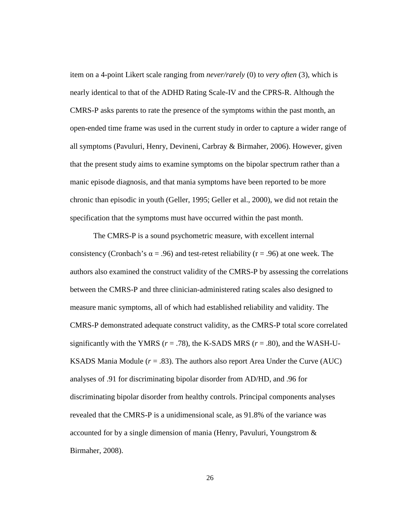item on a 4-point Likert scale ranging from *never/rarely* (0) to *very often* (3), which is nearly identical to that of the ADHD Rating Scale-IV and the CPRS-R. Although the CMRS-P asks parents to rate the presence of the symptoms within the past month, an open-ended time frame was used in the current study in order to capture a wider range of all symptoms (Pavuluri, Henry, Devineni, Carbray & Birmaher, 2006). However, given that the present study aims to examine symptoms on the bipolar spectrum rather than a manic episode diagnosis, and that mania symptoms have been reported to be more chronic than episodic in youth (Geller, 1995; Geller et al., 2000), we did not retain the specification that the symptoms must have occurred within the past month.

The CMRS-P is a sound psychometric measure, with excellent internal consistency (Cronbach's  $\alpha$  = .96) and test-retest reliability (r = .96) at one week. The authors also examined the construct validity of the CMRS-P by assessing the correlations between the CMRS-P and three clinician-administered rating scales also designed to measure manic symptoms, all of which had established reliability and validity. The CMRS-P demonstrated adequate construct validity, as the CMRS-P total score correlated significantly with the YMRS ( $r = .78$ ), the K-SADS MRS ( $r = .80$ ), and the WASH-U-KSADS Mania Module  $(r = .83)$ . The authors also report Area Under the Curve (AUC) analyses of .91 for discriminating bipolar disorder from AD/HD, and .96 for discriminating bipolar disorder from healthy controls. Principal components analyses revealed that the CMRS-P is a unidimensional scale, as 91.8% of the variance was accounted for by a single dimension of mania (Henry, Pavuluri, Youngstrom & Birmaher, 2008).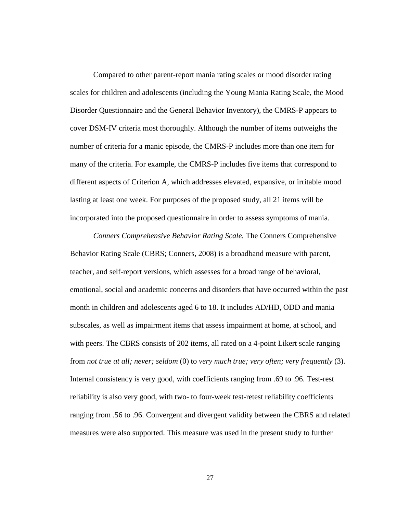Compared to other parent-report mania rating scales or mood disorder rating scales for children and adolescents (including the Young Mania Rating Scale, the Mood Disorder Questionnaire and the General Behavior Inventory), the CMRS-P appears to cover DSM-IV criteria most thoroughly. Although the number of items outweighs the number of criteria for a manic episode, the CMRS-P includes more than one item for many of the criteria. For example, the CMRS-P includes five items that correspond to different aspects of Criterion A, which addresses elevated, expansive, or irritable mood lasting at least one week. For purposes of the proposed study, all 21 items will be incorporated into the proposed questionnaire in order to assess symptoms of mania.

*Conners Comprehensive Behavior Rating Scale.* The Conners Comprehensive Behavior Rating Scale (CBRS; Conners, 2008) is a broadband measure with parent, teacher, and self-report versions, which assesses for a broad range of behavioral, emotional, social and academic concerns and disorders that have occurred within the past month in children and adolescents aged 6 to 18. It includes AD/HD, ODD and mania subscales, as well as impairment items that assess impairment at home, at school, and with peers. The CBRS consists of 202 items, all rated on a 4-point Likert scale ranging from *not true at all; never; seldom* (0) to *very much true; very often; very frequently* (3). Internal consistency is very good, with coefficients ranging from .69 to .96. Test-rest reliability is also very good, with two- to four-week test-retest reliability coefficients ranging from .56 to .96. Convergent and divergent validity between the CBRS and related measures were also supported. This measure was used in the present study to further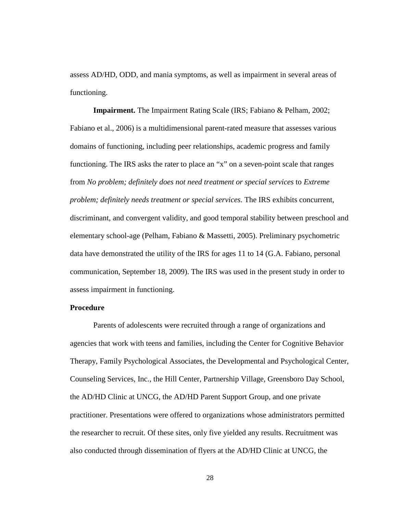assess AD/HD, ODD, and mania symptoms, as well as impairment in several areas of functioning.

**Impairment.** The Impairment Rating Scale (IRS; Fabiano & Pelham, 2002; Fabiano et al., 2006) is a multidimensional parent-rated measure that assesses various domains of functioning, including peer relationships, academic progress and family functioning. The IRS asks the rater to place an "x" on a seven-point scale that ranges from *No problem; definitely does not need treatment or special services* to *Extreme problem; definitely needs treatment or special services*. The IRS exhibits concurrent, discriminant, and convergent validity, and good temporal stability between preschool and elementary school-age (Pelham, Fabiano & Massetti, 2005). Preliminary psychometric data have demonstrated the utility of the IRS for ages 11 to 14 (G.A. Fabiano, personal communication, September 18, 2009). The IRS was used in the present study in order to assess impairment in functioning.

## **Procedure**

 Parents of adolescents were recruited through a range of organizations and agencies that work with teens and families, including the Center for Cognitive Behavior Therapy, Family Psychological Associates, the Developmental and Psychological Center, Counseling Services, Inc., the Hill Center, Partnership Village, Greensboro Day School, the AD/HD Clinic at UNCG, the AD/HD Parent Support Group, and one private practitioner. Presentations were offered to organizations whose administrators permitted the researcher to recruit. Of these sites, only five yielded any results. Recruitment was also conducted through dissemination of flyers at the AD/HD Clinic at UNCG, the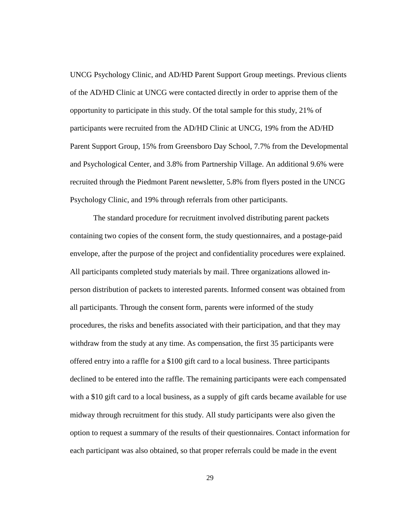UNCG Psychology Clinic, and AD/HD Parent Support Group meetings. Previous clients of the AD/HD Clinic at UNCG were contacted directly in order to apprise them of the opportunity to participate in this study. Of the total sample for this study, 21% of participants were recruited from the AD/HD Clinic at UNCG, 19% from the AD/HD Parent Support Group, 15% from Greensboro Day School, 7.7% from the Developmental and Psychological Center, and 3.8% from Partnership Village. An additional 9.6% were recruited through the Piedmont Parent newsletter, 5.8% from flyers posted in the UNCG Psychology Clinic, and 19% through referrals from other participants.

The standard procedure for recruitment involved distributing parent packets containing two copies of the consent form, the study questionnaires, and a postage-paid envelope, after the purpose of the project and confidentiality procedures were explained. All participants completed study materials by mail. Three organizations allowed inperson distribution of packets to interested parents. Informed consent was obtained from all participants. Through the consent form, parents were informed of the study procedures, the risks and benefits associated with their participation, and that they may withdraw from the study at any time. As compensation, the first 35 participants were offered entry into a raffle for a \$100 gift card to a local business. Three participants declined to be entered into the raffle. The remaining participants were each compensated with a \$10 gift card to a local business, as a supply of gift cards became available for use midway through recruitment for this study. All study participants were also given the option to request a summary of the results of their questionnaires. Contact information for each participant was also obtained, so that proper referrals could be made in the event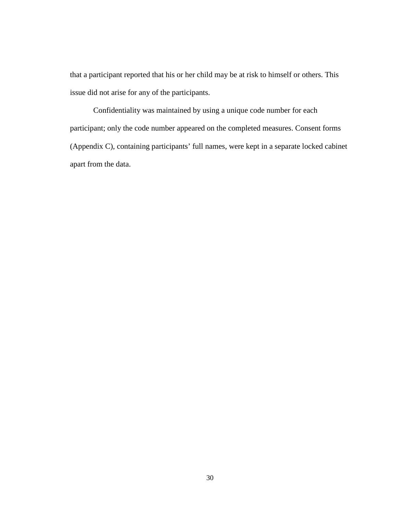that a participant reported that his or her child may be at risk to himself or others. This issue did not arise for any of the participants.

Confidentiality was maintained by using a unique code number for each participant; only the code number appeared on the completed measures. Consent forms (Appendix C), containing participants' full names, were kept in a separate locked cabinet apart from the data.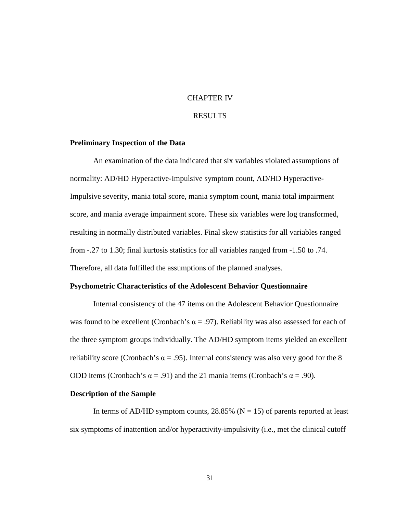## CHAPTER IV

## RESULTS

#### **Preliminary Inspection of the Data**

An examination of the data indicated that six variables violated assumptions of normality: AD/HD Hyperactive-Impulsive symptom count, AD/HD Hyperactive-Impulsive severity, mania total score, mania symptom count, mania total impairment score, and mania average impairment score. These six variables were log transformed, resulting in normally distributed variables. Final skew statistics for all variables ranged from -.27 to 1.30; final kurtosis statistics for all variables ranged from -1.50 to .74. Therefore, all data fulfilled the assumptions of the planned analyses.

#### **Psychometric Characteristics of the Adolescent Behavior Questionnaire**

Internal consistency of the 47 items on the Adolescent Behavior Questionnaire was found to be excellent (Cronbach's  $\alpha = .97$ ). Reliability was also assessed for each of the three symptom groups individually. The AD/HD symptom items yielded an excellent reliability score (Cronbach's  $\alpha = .95$ ). Internal consistency was also very good for the 8 ODD items (Cronbach's  $\alpha = .91$ ) and the 21 mania items (Cronbach's  $\alpha = .90$ ).

#### **Description of the Sample**

In terms of AD/HD symptom counts,  $28.85\%$  (N = 15) of parents reported at least six symptoms of inattention and/or hyperactivity-impulsivity (i.e., met the clinical cutoff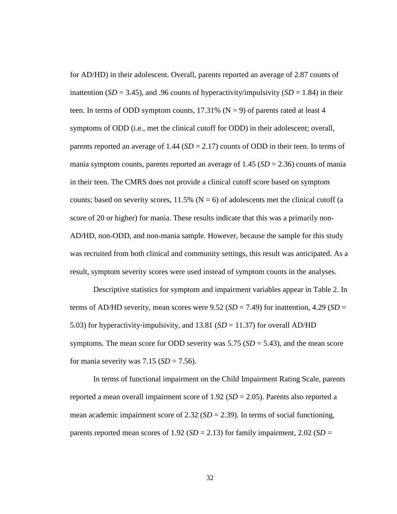for AD/HD) in their adolescent. Overall, parents reported an average of 2.87 counts of inattention ( $SD = 3.45$ ), and .96 counts of hyperactivity/impulsivity ( $SD = 1.84$ ) in their teen. In terms of ODD symptom counts,  $17.31\%$  (N = 9) of parents rated at least 4 symptoms of ODD (i.e., met the clinical cutoff for ODD) in their adolescent; overall, parents reported an average of 1.44 (*SD* = 2.17) counts of ODD in their teen. In terms of mania symptom counts, parents reported an average of  $1.45$  ( $SD = 2.36$ ) counts of mania in their teen. The CMRS does not provide a clinical cutoff score based on symptom counts; based on severity scores,  $11.5\%$  (N = 6) of adolescents met the clinical cutoff (a score of 20 or higher) for mania. These results indicate that this was a primarily non-AD/HD, non-ODD, and non-mania sample. However, because the sample for this study was recruited from both clinical and community settings, this result was anticipated. As a result, symptom severity scores were used instead of symptom counts in the analyses.

Descriptive statistics for symptom and impairment variables appear in Table 2. In terms of AD/HD severity, mean scores were  $9.52$  (*SD* = 7.49) for inattention, 4.29 (*SD* = 5.03) for hyperactivity-impulsivity, and 13.81 (*SD* = 11.37) for overall AD/HD symptoms. The mean score for ODD severity was 5.75 (*SD* = 5.43), and the mean score for mania severity was  $7.15$  ( $SD = 7.56$ ).

In terms of functional impairment on the Child Impairment Rating Scale, parents reported a mean overall impairment score of  $1.92$  (*SD* = 2.05). Parents also reported a mean academic impairment score of 2.32 ( $SD = 2.39$ ). In terms of social functioning, parents reported mean scores of  $1.92$  (*SD* = 2.13) for family impairment, 2.02 (*SD* =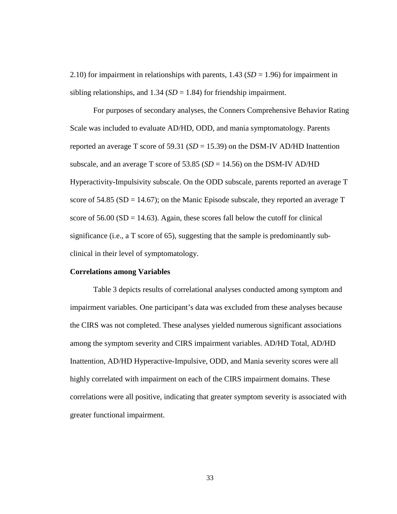2.10) for impairment in relationships with parents,  $1.43$  (*SD* = 1.96) for impairment in sibling relationships, and  $1.34$  (*SD* = 1.84) for friendship impairment.

 For purposes of secondary analyses, the Conners Comprehensive Behavior Rating Scale was included to evaluate AD/HD, ODD, and mania symptomatology. Parents reported an average T score of 59.31 ( $SD = 15.39$ ) on the DSM-IV AD/HD Inattention subscale, and an average T score of 53.85 ( $SD = 14.56$ ) on the DSM-IV AD/HD Hyperactivity-Impulsivity subscale. On the ODD subscale, parents reported an average T score of  $54.85$  (SD = 14.67); on the Manic Episode subscale, they reported an average T score of  $56.00$  (SD = 14.63). Again, these scores fall below the cutoff for clinical significance (i.e., a T score of 65), suggesting that the sample is predominantly subclinical in their level of symptomatology.

#### **Correlations among Variables**

Table 3 depicts results of correlational analyses conducted among symptom and impairment variables. One participant's data was excluded from these analyses because the CIRS was not completed. These analyses yielded numerous significant associations among the symptom severity and CIRS impairment variables. AD/HD Total, AD/HD Inattention, AD/HD Hyperactive-Impulsive, ODD, and Mania severity scores were all highly correlated with impairment on each of the CIRS impairment domains. These correlations were all positive, indicating that greater symptom severity is associated with greater functional impairment.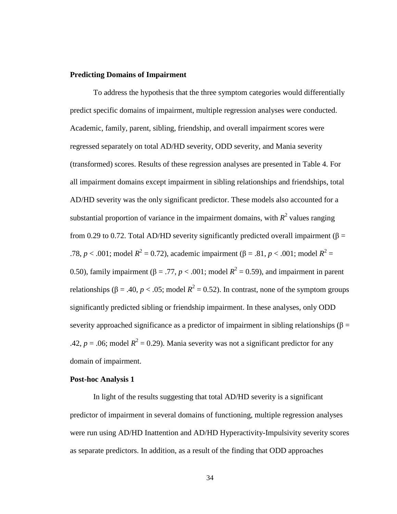## **Predicting Domains of Impairment**

 To address the hypothesis that the three symptom categories would differentially predict specific domains of impairment, multiple regression analyses were conducted. Academic, family, parent, sibling, friendship, and overall impairment scores were regressed separately on total AD/HD severity, ODD severity, and Mania severity (transformed) scores. Results of these regression analyses are presented in Table 4. For all impairment domains except impairment in sibling relationships and friendships, total AD/HD severity was the only significant predictor. These models also accounted for a substantial proportion of variance in the impairment domains, with  $R^2$  values ranging from 0.29 to 0.72. Total AD/HD severity significantly predicted overall impairment ( $\beta$  = .78, *p* < .001; model *R*<sup>2</sup> = 0.72), academic impairment (β = .81, *p* < .001; model *R*<sup>2</sup> = 0.50), family impairment ( $β = .77, p < .001$ ; model  $R^2 = 0.59$ ), and impairment in parent relationships (β = .40, *p* < .05; model  $R^2$  = 0.52). In contrast, none of the symptom groups significantly predicted sibling or friendship impairment. In these analyses, only ODD severity approached significance as a predictor of impairment in sibling relationships ( $\beta$  = .42,  $p = 0.06$ ; model  $R^2 = 0.29$ ). Mania severity was not a significant predictor for any domain of impairment.

#### **Post-hoc Analysis 1**

In light of the results suggesting that total AD/HD severity is a significant predictor of impairment in several domains of functioning, multiple regression analyses were run using AD/HD Inattention and AD/HD Hyperactivity-Impulsivity severity scores as separate predictors. In addition, as a result of the finding that ODD approaches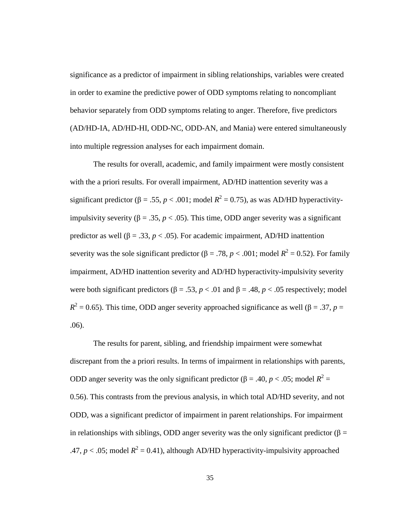significance as a predictor of impairment in sibling relationships, variables were created in order to examine the predictive power of ODD symptoms relating to noncompliant behavior separately from ODD symptoms relating to anger. Therefore, five predictors (AD/HD-IA, AD/HD-HI, ODD-NC, ODD-AN, and Mania) were entered simultaneously into multiple regression analyses for each impairment domain.

 The results for overall, academic, and family impairment were mostly consistent with the a priori results. For overall impairment, AD/HD inattention severity was a significant predictor ( $\beta = .55$ ,  $p < .001$ ; model  $R^2 = 0.75$ ), as was AD/HD hyperactivityimpulsivity severity ( $\beta = 0.35$ ,  $p < 0.05$ ). This time, ODD anger severity was a significant predictor as well ( $\beta = .33$ ,  $p < .05$ ). For academic impairment, AD/HD inattention severity was the sole significant predictor ( $\beta = .78$ ,  $p < .001$ ; model  $R^2 = 0.52$ ). For family impairment, AD/HD inattention severity and AD/HD hyperactivity-impulsivity severity were both significant predictors ( $\beta = .53$ ,  $p < .01$  and  $\beta = .48$ ,  $p < .05$  respectively; model  $R^2 = 0.65$ ). This time, ODD anger severity approached significance as well ( $\beta = .37$ ,  $p =$ .06).

The results for parent, sibling, and friendship impairment were somewhat discrepant from the a priori results. In terms of impairment in relationships with parents, ODD anger severity was the only significant predictor (β = .40, *p* < .05; model  $R^2$  = 0.56). This contrasts from the previous analysis, in which total AD/HD severity, and not ODD, was a significant predictor of impairment in parent relationships. For impairment in relationships with siblings, ODD anger severity was the only significant predictor ( $\beta$  = .47,  $p < .05$ ; model  $R^2 = 0.41$ ), although AD/HD hyperactivity-impulsivity approached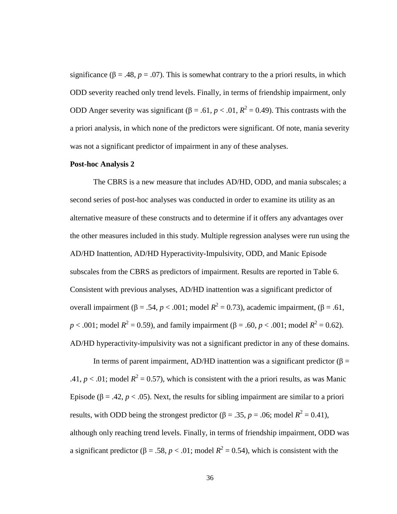significance ( $\beta = .48$ ,  $p = .07$ ). This is somewhat contrary to the a priori results, in which ODD severity reached only trend levels. Finally, in terms of friendship impairment, only ODD Anger severity was significant (β = .61,  $p < .01$ ,  $R^2 = 0.49$ ). This contrasts with the a priori analysis, in which none of the predictors were significant. Of note, mania severity was not a significant predictor of impairment in any of these analyses.

#### **Post-hoc Analysis 2**

The CBRS is a new measure that includes AD/HD, ODD, and mania subscales; a second series of post-hoc analyses was conducted in order to examine its utility as an alternative measure of these constructs and to determine if it offers any advantages over the other measures included in this study. Multiple regression analyses were run using the AD/HD Inattention, AD/HD Hyperactivity-Impulsivity, ODD, and Manic Episode subscales from the CBRS as predictors of impairment. Results are reported in Table 6. Consistent with previous analyses, AD/HD inattention was a significant predictor of overall impairment (β = .54, *p* < .001; model  $R^2 = 0.73$ ), academic impairment, (β = .61, *p* < .001; model *R*<sup>2</sup> = 0.59), and family impairment (β = .60, *p* < .001; model *R*<sup>2</sup> = 0.62). AD/HD hyperactivity-impulsivity was not a significant predictor in any of these domains.

In terms of parent impairment, AD/HD inattention was a significant predictor ( $\beta$  = .41,  $p < .01$ ; model  $R^2 = 0.57$ ), which is consistent with the a priori results, as was Manic Episode ( $\beta = .42$ ,  $p < .05$ ). Next, the results for sibling impairment are similar to a priori results, with ODD being the strongest predictor ( $\beta = .35$ ,  $p = .06$ ; model  $R^2 = 0.41$ ), although only reaching trend levels. Finally, in terms of friendship impairment, ODD was a significant predictor ( $\beta = .58$ ,  $p < .01$ ; model  $R^2 = 0.54$ ), which is consistent with the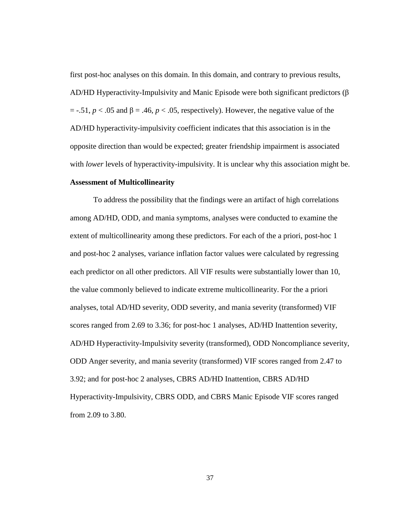first post-hoc analyses on this domain. In this domain, and contrary to previous results, AD/HD Hyperactivity-Impulsivity and Manic Episode were both significant predictors (β  $=$  -.51,  $p < .05$  and  $\beta = .46$ ,  $p < .05$ , respectively). However, the negative value of the AD/HD hyperactivity-impulsivity coefficient indicates that this association is in the opposite direction than would be expected; greater friendship impairment is associated with *lower* levels of hyperactivity-impulsivity. It is unclear why this association might be. **Assessment of Multicollinearity** 

To address the possibility that the findings were an artifact of high correlations among AD/HD, ODD, and mania symptoms, analyses were conducted to examine the extent of multicollinearity among these predictors. For each of the a priori, post-hoc 1 and post-hoc 2 analyses, variance inflation factor values were calculated by regressing each predictor on all other predictors. All VIF results were substantially lower than 10, the value commonly believed to indicate extreme multicollinearity. For the a priori analyses, total AD/HD severity, ODD severity, and mania severity (transformed) VIF scores ranged from 2.69 to 3.36; for post-hoc 1 analyses, AD/HD Inattention severity, AD/HD Hyperactivity-Impulsivity severity (transformed), ODD Noncompliance severity, ODD Anger severity, and mania severity (transformed) VIF scores ranged from 2.47 to 3.92; and for post-hoc 2 analyses, CBRS AD/HD Inattention, CBRS AD/HD Hyperactivity-Impulsivity, CBRS ODD, and CBRS Manic Episode VIF scores ranged from 2.09 to 3.80.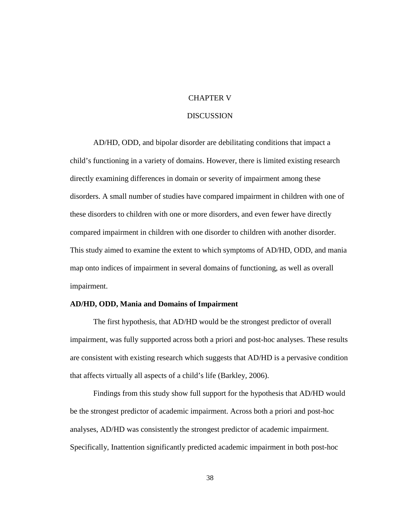## CHAPTER V

#### **DISCUSSION**

AD/HD, ODD, and bipolar disorder are debilitating conditions that impact a child's functioning in a variety of domains. However, there is limited existing research directly examining differences in domain or severity of impairment among these disorders. A small number of studies have compared impairment in children with one of these disorders to children with one or more disorders, and even fewer have directly compared impairment in children with one disorder to children with another disorder. This study aimed to examine the extent to which symptoms of AD/HD, ODD, and mania map onto indices of impairment in several domains of functioning, as well as overall impairment.

#### **AD/HD, ODD, Mania and Domains of Impairment**

The first hypothesis, that AD/HD would be the strongest predictor of overall impairment, was fully supported across both a priori and post-hoc analyses. These results are consistent with existing research which suggests that AD/HD is a pervasive condition that affects virtually all aspects of a child's life (Barkley, 2006).

Findings from this study show full support for the hypothesis that AD/HD would be the strongest predictor of academic impairment. Across both a priori and post-hoc analyses, AD/HD was consistently the strongest predictor of academic impairment. Specifically, Inattention significantly predicted academic impairment in both post-hoc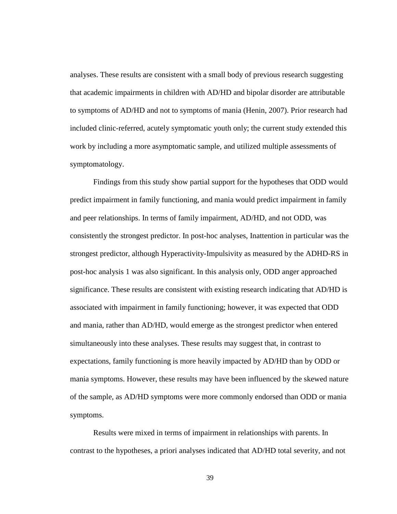analyses. These results are consistent with a small body of previous research suggesting that academic impairments in children with AD/HD and bipolar disorder are attributable to symptoms of AD/HD and not to symptoms of mania (Henin, 2007). Prior research had included clinic-referred, acutely symptomatic youth only; the current study extended this work by including a more asymptomatic sample, and utilized multiple assessments of symptomatology.

Findings from this study show partial support for the hypotheses that ODD would predict impairment in family functioning, and mania would predict impairment in family and peer relationships. In terms of family impairment, AD/HD, and not ODD, was consistently the strongest predictor. In post-hoc analyses, Inattention in particular was the strongest predictor, although Hyperactivity-Impulsivity as measured by the ADHD-RS in post-hoc analysis 1 was also significant. In this analysis only, ODD anger approached significance. These results are consistent with existing research indicating that AD/HD is associated with impairment in family functioning; however, it was expected that ODD and mania, rather than AD/HD, would emerge as the strongest predictor when entered simultaneously into these analyses. These results may suggest that, in contrast to expectations, family functioning is more heavily impacted by AD/HD than by ODD or mania symptoms. However, these results may have been influenced by the skewed nature of the sample, as AD/HD symptoms were more commonly endorsed than ODD or mania symptoms.

Results were mixed in terms of impairment in relationships with parents. In contrast to the hypotheses, a priori analyses indicated that AD/HD total severity, and not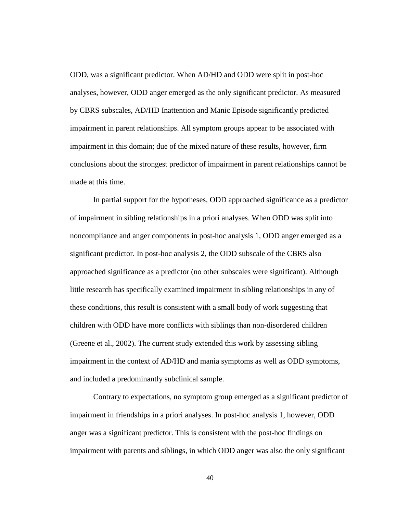ODD, was a significant predictor. When AD/HD and ODD were split in post-hoc analyses, however, ODD anger emerged as the only significant predictor. As measured by CBRS subscales, AD/HD Inattention and Manic Episode significantly predicted impairment in parent relationships. All symptom groups appear to be associated with impairment in this domain; due of the mixed nature of these results, however, firm conclusions about the strongest predictor of impairment in parent relationships cannot be made at this time.

In partial support for the hypotheses, ODD approached significance as a predictor of impairment in sibling relationships in a priori analyses. When ODD was split into noncompliance and anger components in post-hoc analysis 1, ODD anger emerged as a significant predictor. In post-hoc analysis 2, the ODD subscale of the CBRS also approached significance as a predictor (no other subscales were significant). Although little research has specifically examined impairment in sibling relationships in any of these conditions, this result is consistent with a small body of work suggesting that children with ODD have more conflicts with siblings than non-disordered children (Greene et al., 2002). The current study extended this work by assessing sibling impairment in the context of AD/HD and mania symptoms as well as ODD symptoms, and included a predominantly subclinical sample.

Contrary to expectations, no symptom group emerged as a significant predictor of impairment in friendships in a priori analyses. In post-hoc analysis 1, however, ODD anger was a significant predictor. This is consistent with the post-hoc findings on impairment with parents and siblings, in which ODD anger was also the only significant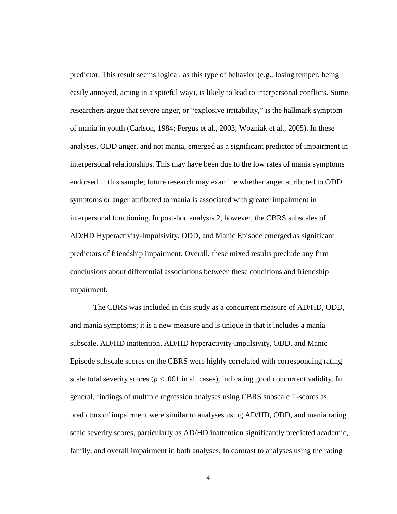predictor. This result seems logical, as this type of behavior (e.g., losing temper, being easily annoyed, acting in a spiteful way), is likely to lead to interpersonal conflicts. Some researchers argue that severe anger, or "explosive irritability," is the hallmark symptom of mania in youth (Carlson, 1984; Fergus et al., 2003; Wozniak et al., 2005). In these analyses, ODD anger, and not mania, emerged as a significant predictor of impairment in interpersonal relationships. This may have been due to the low rates of mania symptoms endorsed in this sample; future research may examine whether anger attributed to ODD symptoms or anger attributed to mania is associated with greater impairment in interpersonal functioning. In post-hoc analysis 2, however, the CBRS subscales of AD/HD Hyperactivity-Impulsivity, ODD, and Manic Episode emerged as significant predictors of friendship impairment. Overall, these mixed results preclude any firm conclusions about differential associations between these conditions and friendship impairment.

The CBRS was included in this study as a concurrent measure of AD/HD, ODD, and mania symptoms; it is a new measure and is unique in that it includes a mania subscale. AD/HD inattention, AD/HD hyperactivity-impulsivity, ODD, and Manic Episode subscale scores on the CBRS were highly correlated with corresponding rating scale total severity scores ( $p < .001$  in all cases), indicating good concurrent validity. In general, findings of multiple regression analyses using CBRS subscale T-scores as predictors of impairment were similar to analyses using AD/HD, ODD, and mania rating scale severity scores, particularly as AD/HD inattention significantly predicted academic, family, and overall impairment in both analyses. In contrast to analyses using the rating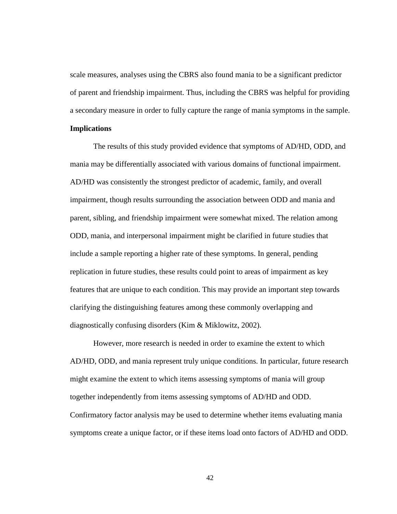scale measures, analyses using the CBRS also found mania to be a significant predictor of parent and friendship impairment. Thus, including the CBRS was helpful for providing a secondary measure in order to fully capture the range of mania symptoms in the sample. **Implications** 

The results of this study provided evidence that symptoms of AD/HD, ODD, and mania may be differentially associated with various domains of functional impairment. AD/HD was consistently the strongest predictor of academic, family, and overall impairment, though results surrounding the association between ODD and mania and parent, sibling, and friendship impairment were somewhat mixed. The relation among ODD, mania, and interpersonal impairment might be clarified in future studies that include a sample reporting a higher rate of these symptoms. In general, pending replication in future studies, these results could point to areas of impairment as key features that are unique to each condition. This may provide an important step towards clarifying the distinguishing features among these commonly overlapping and diagnostically confusing disorders (Kim & Miklowitz, 2002).

However, more research is needed in order to examine the extent to which AD/HD, ODD, and mania represent truly unique conditions. In particular, future research might examine the extent to which items assessing symptoms of mania will group together independently from items assessing symptoms of AD/HD and ODD. Confirmatory factor analysis may be used to determine whether items evaluating mania symptoms create a unique factor, or if these items load onto factors of AD/HD and ODD.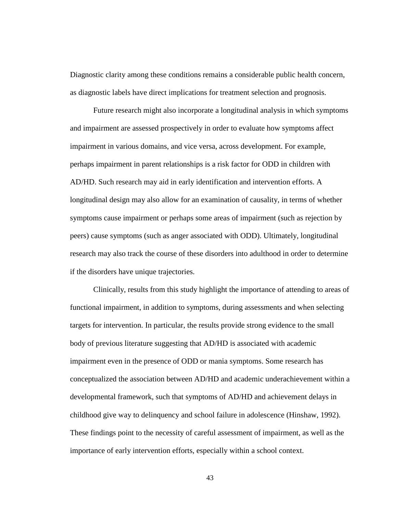Diagnostic clarity among these conditions remains a considerable public health concern, as diagnostic labels have direct implications for treatment selection and prognosis.

Future research might also incorporate a longitudinal analysis in which symptoms and impairment are assessed prospectively in order to evaluate how symptoms affect impairment in various domains, and vice versa, across development. For example, perhaps impairment in parent relationships is a risk factor for ODD in children with AD/HD. Such research may aid in early identification and intervention efforts. A longitudinal design may also allow for an examination of causality, in terms of whether symptoms cause impairment or perhaps some areas of impairment (such as rejection by peers) cause symptoms (such as anger associated with ODD). Ultimately, longitudinal research may also track the course of these disorders into adulthood in order to determine if the disorders have unique trajectories.

Clinically, results from this study highlight the importance of attending to areas of functional impairment, in addition to symptoms, during assessments and when selecting targets for intervention. In particular, the results provide strong evidence to the small body of previous literature suggesting that AD/HD is associated with academic impairment even in the presence of ODD or mania symptoms. Some research has conceptualized the association between AD/HD and academic underachievement within a developmental framework, such that symptoms of AD/HD and achievement delays in childhood give way to delinquency and school failure in adolescence (Hinshaw, 1992). These findings point to the necessity of careful assessment of impairment, as well as the importance of early intervention efforts, especially within a school context.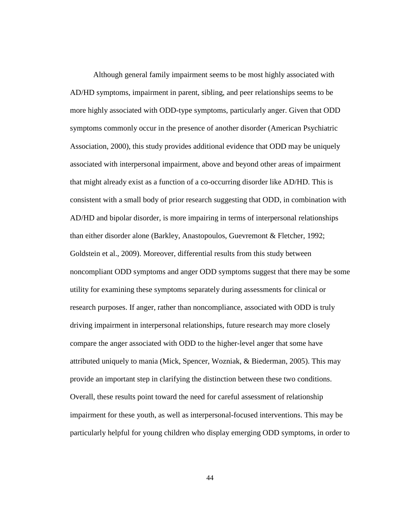Although general family impairment seems to be most highly associated with AD/HD symptoms, impairment in parent, sibling, and peer relationships seems to be more highly associated with ODD-type symptoms, particularly anger. Given that ODD symptoms commonly occur in the presence of another disorder (American Psychiatric Association, 2000), this study provides additional evidence that ODD may be uniquely associated with interpersonal impairment, above and beyond other areas of impairment that might already exist as a function of a co-occurring disorder like AD/HD. This is consistent with a small body of prior research suggesting that ODD, in combination with AD/HD and bipolar disorder, is more impairing in terms of interpersonal relationships than either disorder alone (Barkley, Anastopoulos, Guevremont & Fletcher, 1992; Goldstein et al., 2009). Moreover, differential results from this study between noncompliant ODD symptoms and anger ODD symptoms suggest that there may be some utility for examining these symptoms separately during assessments for clinical or research purposes. If anger, rather than noncompliance, associated with ODD is truly driving impairment in interpersonal relationships, future research may more closely compare the anger associated with ODD to the higher-level anger that some have attributed uniquely to mania (Mick, Spencer, Wozniak, & Biederman, 2005). This may provide an important step in clarifying the distinction between these two conditions. Overall, these results point toward the need for careful assessment of relationship impairment for these youth, as well as interpersonal-focused interventions. This may be particularly helpful for young children who display emerging ODD symptoms, in order to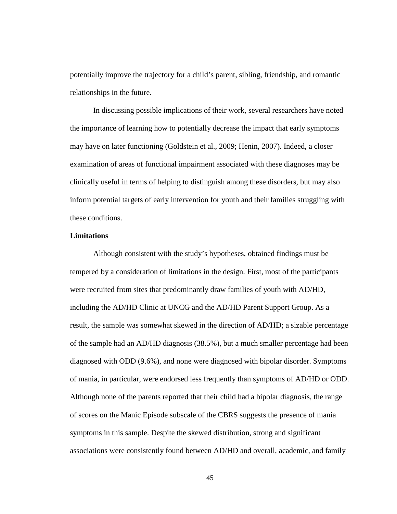potentially improve the trajectory for a child's parent, sibling, friendship, and romantic relationships in the future.

In discussing possible implications of their work, several researchers have noted the importance of learning how to potentially decrease the impact that early symptoms may have on later functioning (Goldstein et al., 2009; Henin, 2007). Indeed, a closer examination of areas of functional impairment associated with these diagnoses may be clinically useful in terms of helping to distinguish among these disorders, but may also inform potential targets of early intervention for youth and their families struggling with these conditions.

## **Limitations**

Although consistent with the study's hypotheses, obtained findings must be tempered by a consideration of limitations in the design. First, most of the participants were recruited from sites that predominantly draw families of youth with AD/HD, including the AD/HD Clinic at UNCG and the AD/HD Parent Support Group. As a result, the sample was somewhat skewed in the direction of AD/HD; a sizable percentage of the sample had an AD/HD diagnosis (38.5%), but a much smaller percentage had been diagnosed with ODD (9.6%), and none were diagnosed with bipolar disorder. Symptoms of mania, in particular, were endorsed less frequently than symptoms of AD/HD or ODD. Although none of the parents reported that their child had a bipolar diagnosis, the range of scores on the Manic Episode subscale of the CBRS suggests the presence of mania symptoms in this sample. Despite the skewed distribution, strong and significant associations were consistently found between AD/HD and overall, academic, and family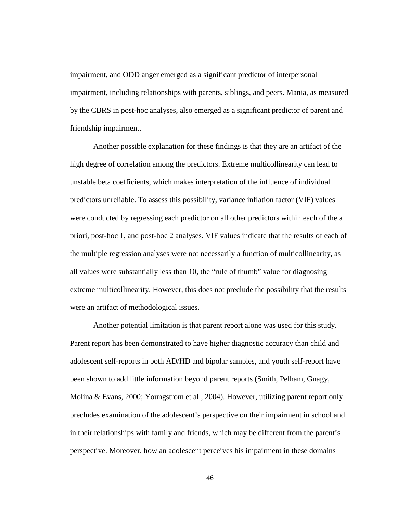impairment, and ODD anger emerged as a significant predictor of interpersonal impairment, including relationships with parents, siblings, and peers. Mania, as measured by the CBRS in post-hoc analyses, also emerged as a significant predictor of parent and friendship impairment.

 Another possible explanation for these findings is that they are an artifact of the high degree of correlation among the predictors. Extreme multicollinearity can lead to unstable beta coefficients, which makes interpretation of the influence of individual predictors unreliable. To assess this possibility, variance inflation factor (VIF) values were conducted by regressing each predictor on all other predictors within each of the a priori, post-hoc 1, and post-hoc 2 analyses. VIF values indicate that the results of each of the multiple regression analyses were not necessarily a function of multicollinearity, as all values were substantially less than 10, the "rule of thumb" value for diagnosing extreme multicollinearity. However, this does not preclude the possibility that the results were an artifact of methodological issues.

 Another potential limitation is that parent report alone was used for this study. Parent report has been demonstrated to have higher diagnostic accuracy than child and adolescent self-reports in both AD/HD and bipolar samples, and youth self-report have been shown to add little information beyond parent reports (Smith, Pelham, Gnagy, Molina & Evans, 2000; Youngstrom et al., 2004). However, utilizing parent report only precludes examination of the adolescent's perspective on their impairment in school and in their relationships with family and friends, which may be different from the parent's perspective. Moreover, how an adolescent perceives his impairment in these domains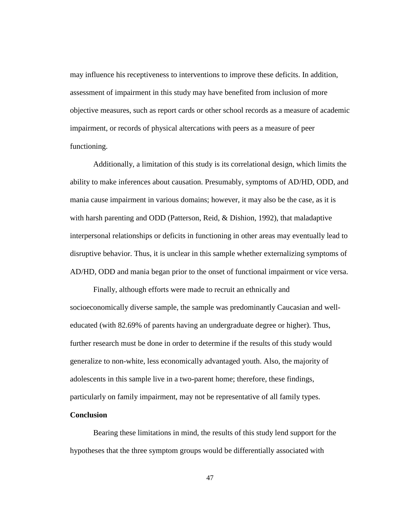may influence his receptiveness to interventions to improve these deficits. In addition, assessment of impairment in this study may have benefited from inclusion of more objective measures, such as report cards or other school records as a measure of academic impairment, or records of physical altercations with peers as a measure of peer functioning.

Additionally, a limitation of this study is its correlational design, which limits the ability to make inferences about causation. Presumably, symptoms of AD/HD, ODD, and mania cause impairment in various domains; however, it may also be the case, as it is with harsh parenting and ODD (Patterson, Reid, & Dishion, 1992), that maladaptive interpersonal relationships or deficits in functioning in other areas may eventually lead to disruptive behavior. Thus, it is unclear in this sample whether externalizing symptoms of AD/HD, ODD and mania began prior to the onset of functional impairment or vice versa.

 Finally, although efforts were made to recruit an ethnically and socioeconomically diverse sample, the sample was predominantly Caucasian and welleducated (with 82.69% of parents having an undergraduate degree or higher). Thus, further research must be done in order to determine if the results of this study would generalize to non-white, less economically advantaged youth. Also, the majority of adolescents in this sample live in a two-parent home; therefore, these findings, particularly on family impairment, may not be representative of all family types.

## **Conclusion**

 Bearing these limitations in mind, the results of this study lend support for the hypotheses that the three symptom groups would be differentially associated with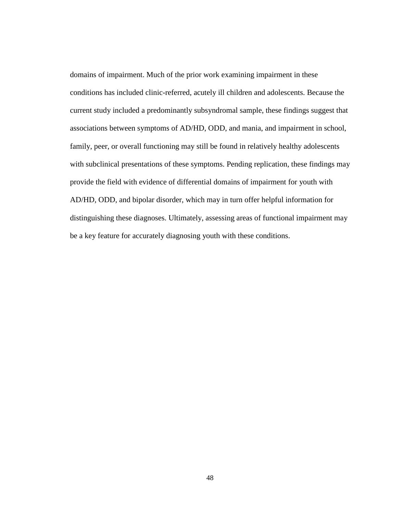domains of impairment. Much of the prior work examining impairment in these conditions has included clinic-referred, acutely ill children and adolescents. Because the current study included a predominantly subsyndromal sample, these findings suggest that associations between symptoms of AD/HD, ODD, and mania, and impairment in school, family, peer, or overall functioning may still be found in relatively healthy adolescents with subclinical presentations of these symptoms. Pending replication, these findings may provide the field with evidence of differential domains of impairment for youth with AD/HD, ODD, and bipolar disorder, which may in turn offer helpful information for distinguishing these diagnoses. Ultimately, assessing areas of functional impairment may be a key feature for accurately diagnosing youth with these conditions.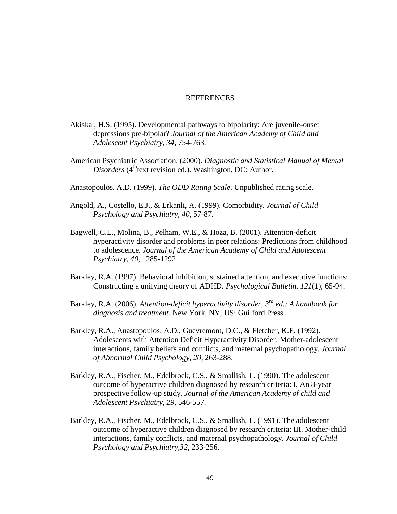#### **REFERENCES**

- Akiskal, H.S. (1995). Developmental pathways to bipolarity: Are juvenile-onset depressions pre-bipolar? *Journal of the American Academy of Child and Adolescent Psychiatry, 34,* 754-763.
- American Psychiatric Association. (2000). *Diagnostic and Statistical Manual of Mental Disorders* (4<sup>th</sup>text revision ed.). Washington, DC: Author.
- Anastopoulos, A.D. (1999). *The ODD Rating Scale*. Unpublished rating scale.
- Angold, A., Costello, E.J., & Erkanli, A. (1999). Comorbidity. *Journal of Child Psychology and Psychiatry, 40,* 57-87.
- Bagwell, C.L., Molina, B., Pelham, W.E., & Hoza, B. (2001). Attention-deficit hyperactivity disorder and problems in peer relations: Predictions from childhood to adolescence. *Journal of the American Academy of Child and Adolescent Psychiatry, 40,* 1285-1292.
- Barkley, R.A. (1997). Behavioral inhibition, sustained attention, and executive functions: Constructing a unifying theory of ADHD. *Psychological Bulletin, 121*(1), 65-94.
- Barkley, R.A. (2006). *Attention-deficit hyperactivity disorder, 3rd ed.: A handbook for diagnosis and treatment.* New York, NY, US: Guilford Press.
- Barkley, R.A., Anastopoulos, A.D., Guevremont, D.C., & Fletcher, K.E. (1992). Adolescents with Attention Deficit Hyperactivity Disorder: Mother-adolescent interactions, family beliefs and conflicts, and maternal psychopathology. *Journal of Abnormal Child Psychology, 20*, 263-288.
- Barkley, R.A., Fischer, M., Edelbrock, C.S., & Smallish, L. (1990). The adolescent outcome of hyperactive children diagnosed by research criteria: I. An 8-year prospective follow-up study. *Journal of the American Academy of child and Adolescent Psychiatry, 29,* 546-557.
- Barkley, R.A., Fischer, M., Edelbrock, C.S., & Smallish, L. (1991). The adolescent outcome of hyperactive children diagnosed by research criteria: III. Mother-child interactions, family conflicts, and maternal psychopathology. *Journal of Child Psychology and Psychiatry,32,* 233-256.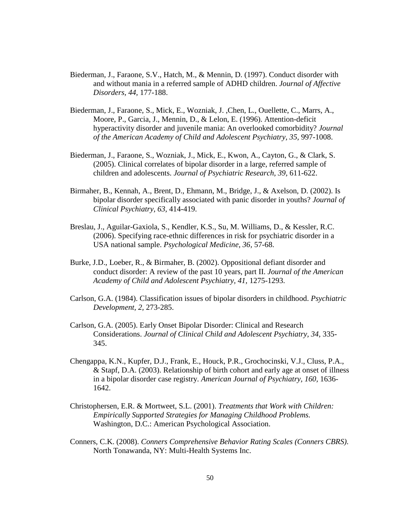- Biederman, J., Faraone, S.V., Hatch, M., & Mennin, D. (1997). Conduct disorder with and without mania in a referred sample of ADHD children. *Journal of Affective Disorders, 44,* 177-188.
- Biederman, J., Faraone, S., Mick, E., Wozniak, J. ,Chen, L., Ouellette, C., Marrs, A., Moore, P., Garcia, J., Mennin, D., & Lelon, E. (1996). Attention-deficit hyperactivity disorder and juvenile mania: An overlooked comorbidity? *Journal of the American Academy of Child and Adolescent Psychiatry, 35,* 997-1008.
- Biederman, J., Faraone, S., Wozniak, J., Mick, E., Kwon, A., Cayton, G., & Clark, S. (2005). Clinical correlates of bipolar disorder in a large, referred sample of children and adolescents. *Journal of Psychiatric Research, 39,* 611-622.
- Birmaher, B., Kennah, A., Brent, D., Ehmann, M., Bridge, J., & Axelson, D. (2002). Is bipolar disorder specifically associated with panic disorder in youths? *Journal of Clinical Psychiatry, 63,* 414-419.
- Breslau, J., Aguilar-Gaxiola, S., Kendler, K.S., Su, M. Williams, D., & Kessler, R.C. (2006). Specifying race-ethnic differences in risk for psychiatric disorder in a USA national sample. *Psychological Medicine, 36,* 57-68.
- Burke, J.D., Loeber, R., & Birmaher, B. (2002). Oppositional defiant disorder and conduct disorder: A review of the past 10 years, part II. *Journal of the American Academy of Child and Adolescent Psychiatry, 41,* 1275-1293.
- Carlson, G.A. (1984). Classification issues of bipolar disorders in childhood. *Psychiatric Development, 2,* 273-285.
- Carlson, G.A. (2005). Early Onset Bipolar Disorder: Clinical and Research Considerations. *Journal of Clinical Child and Adolescent Psychiatry, 34,* 335- 345.
- Chengappa, K.N., Kupfer, D.J., Frank, E., Houck, P.R., Grochocinski, V.J., Cluss, P.A., & Stapf, D.A. (2003). Relationship of birth cohort and early age at onset of illness in a bipolar disorder case registry. *American Journal of Psychiatry, 160,* 1636- 1642.
- Christophersen, E.R. & Mortweet, S.L. (2001). *Treatments that Work with Children: Empirically Supported Strategies for Managing Childhood Problems.*  Washington, D.C.: American Psychological Association.
- Conners, C.K. (2008). *Conners Comprehensive Behavior Rating Scales (Conners CBRS)*. North Tonawanda, NY: Multi-Health Systems Inc.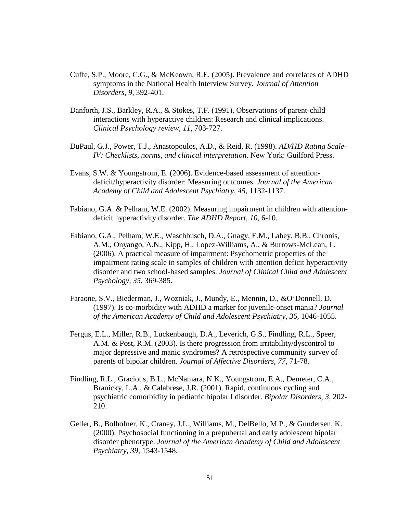- Cuffe, S.P., Moore, C.G., & McKeown, R.E. (2005). Prevalence and correlates of ADHD symptoms in the National Health Interview Survey. *Journal of Attention Disorders, 9,* 392-401.
- Danforth, J.S., Barkley, R.A., & Stokes, T.F. (1991). Observations of parent-child interactions with hyperactive children: Research and clinical implications. *Clinical Psychology review, 11,* 703-727.
- DuPaul, G.J., Power, T.J., Anastopoulos, A.D., & Reid, R. (1998). *AD/HD Rating Scale-IV: Checklists, norms, and clinical interpretation.* New York: Guilford Press.
- Evans, S.W. & Youngstrom, E. (2006). Evidence-based assessment of attentiondeficit/hyperactivity disorder: Measuring outcomes. *Journal of the American Academy of Child and Adolescent Psychiatry, 45,* 1132-1137.
- Fabiano, G.A. & Pelham, W.E. (2002). Measuring impairment in children with attentiondeficit hyperactivity disorder. *The ADHD Report, 10,* 6-10.
- Fabiano, G.A., Pelham, W.E., Waschbusch, D.A., Gnagy, E.M., Lahey, B.B., Chronis, A.M., Onyango, A.N., Kipp, H., Lopez-Williams, A., & Burrows-McLean, L. (2006). A practical measure of impairment: Psychometric properties of the impairment rating scale in samples of children with attention deficit hyperactivity disorder and two school-based samples. *Journal of Clinical Child and Adolescent Psychology, 35*, 369-385.
- Faraone, S.V., Biederman, J., Wozniak, J., Mundy, E., Mennin, D., &O'Donnell, D. (1997). Is co-morbidity with ADHD a marker for juvenile-onset mania? *Journal of the American Academy of Child and Adolescent Psychiatry, 36,* 1046-1055.
- Fergus, E.L., Miller, R.B., Luckenbaugh, D.A., Leverich, G.S., Findling, R.L., Speer, A.M. & Post, R.M. (2003). Is there progression from irritability/dyscontrol to major depressive and manic syndromes? A retrospective community survey of parents of bipolar children. *Journal of Affective Disorders, 77*, 71-78.
- Findling, R.L., Gracious, B.L., McNamara, N.K., Youngstrom, E.A., Demeter, C.A., Branicky, L.A., & Calabrese, J.R. (2001). Rapid, continuous cycling and psychiatric comorbidity in pediatric bipolar I disorder. *Bipolar Disorders, 3,* 202- 210.
- Geller, B., Bolhofner, K., Craney, J.L., Williams, M., DelBello, M.P., & Gundersen, K. (2000). Psychosocial functioning in a prepubertal and early adolescent bipolar disorder phenotype. *Journal of the American Academy of Child and Adolescent Psychiatry, 39,* 1543-1548.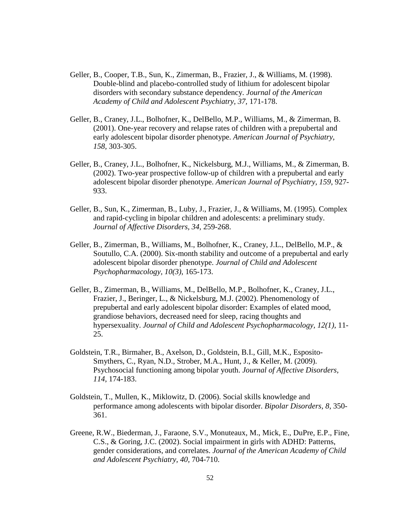- Geller, B., Cooper, T.B., Sun, K., Zimerman, B., Frazier, J., & Williams, M. (1998). Double-blind and placebo-controlled study of lithium for adolescent bipolar disorders with secondary substance dependency. *Journal of the American Academy of Child and Adolescent Psychiatry, 37,* 171-178.
- Geller, B., Craney, J.L., Bolhofner, K., DelBello, M.P., Williams, M., & Zimerman, B. (2001). One-year recovery and relapse rates of children with a prepubertal and early adolescent bipolar disorder phenotype. *American Journal of Psychiatry, 158,* 303-305.
- Geller, B., Craney, J.L., Bolhofner, K., Nickelsburg, M.J., Williams, M., & Zimerman, B. (2002). Two-year prospective follow-up of children with a prepubertal and early adolescent bipolar disorder phenotype. *American Journal of Psychiatry, 159*, 927- 933.
- Geller, B., Sun, K., Zimerman, B., Luby, J., Frazier, J., & Williams, M. (1995). Complex and rapid-cycling in bipolar children and adolescents: a preliminary study. *Journal of Affective Disorders, 34,* 259-268.
- Geller, B., Zimerman, B., Williams, M., Bolhofner, K., Craney, J.L., DelBello, M.P., & Soutullo, C.A. (2000). Six-month stability and outcome of a prepubertal and early adolescent bipolar disorder phenotype. *Journal of Child and Adolescent Psychopharmacology, 10(3)*, 165-173.
- Geller, B., Zimerman, B., Williams, M., DelBello, M.P., Bolhofner, K., Craney, J.L., Frazier, J., Beringer, L., & Nickelsburg, M.J. (2002). Phenomenology of prepubertal and early adolescent bipolar disorder: Examples of elated mood, grandiose behaviors, decreased need for sleep, racing thoughts and hypersexuality. *Journal of Child and Adolescent Psychopharmacology, 12(1)*, 11- 25.
- Goldstein, T.R., Birmaher, B., Axelson, D., Goldstein, B.I., Gill, M.K., Esposito-Smythers, C., Ryan, N.D., Strober, M.A., Hunt, J., & Keller, M. (2009). Psychosocial functioning among bipolar youth. *Journal of Affective Disorders, 114*, 174-183.
- Goldstein, T., Mullen, K., Miklowitz, D. (2006). Social skills knowledge and performance among adolescents with bipolar disorder. *Bipolar Disorders, 8,* 350- 361.
- Greene, R.W., Biederman, J., Faraone, S.V., Monuteaux, M., Mick, E., DuPre, E.P., Fine, C.S., & Goring, J.C. (2002). Social impairment in girls with ADHD: Patterns, gender considerations, and correlates. *Journal of the American Academy of Child and Adolescent Psychiatry, 40,* 704-710.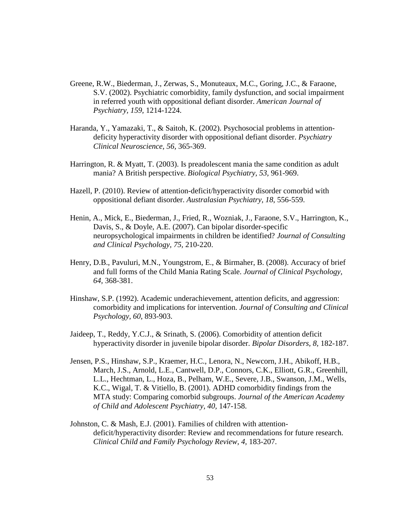- Greene, R.W., Biederman, J., Zerwas, S., Monuteaux, M.C., Goring, J.C., & Faraone, S.V. (2002). Psychiatric comorbidity, family dysfunction, and social impairment in referred youth with oppositional defiant disorder. *American Journal of Psychiatry, 159,* 1214-1224.
- Haranda, Y., Yamazaki, T., & Saitoh, K. (2002). Psychosocial problems in attentiondeficity hyperactivity disorder with oppositional defiant disorder. *Psychiatry Clinical Neuroscience, 56,* 365-369.
- Harrington, R. & Myatt, T. (2003). Is preadolescent mania the same condition as adult mania? A British perspective. *Biological Psychiatry, 53,* 961-969.
- Hazell, P. (2010). Review of attention-deficit/hyperactivity disorder comorbid with oppositional defiant disorder. *Australasian Psychiatry, 18*, 556-559.
- Henin, A., Mick, E., Biederman, J., Fried, R., Wozniak, J., Faraone, S.V., Harrington, K., Davis, S., & Doyle, A.E. (2007). Can bipolar disorder-specific neuropsychological impairments in children be identified? *Journal of Consulting and Clinical Psychology, 75,* 210-220.
- Henry, D.B., Pavuluri, M.N., Youngstrom, E., & Birmaher, B. (2008). Accuracy of brief and full forms of the Child Mania Rating Scale. *Journal of Clinical Psychology, 64,* 368-381.
- Hinshaw, S.P. (1992). Academic underachievement, attention deficits, and aggression: comorbidity and implications for intervention. *Journal of Consulting and Clinical Psychology, 60*, 893-903.
- Jaideep, T., Reddy, Y.C.J., & Srinath, S. (2006). Comorbidity of attention deficit hyperactivity disorder in juvenile bipolar disorder. *Bipolar Disorders, 8,* 182-187.
- Jensen, P.S., Hinshaw, S.P., Kraemer, H.C., Lenora, N., Newcorn, J.H., Abikoff, H.B., March, J.S., Arnold, L.E., Cantwell, D.P., Connors, C.K., Elliott, G.R., Greenhill, L.L., Hechtman, L., Hoza, B., Pelham, W.E., Severe, J.B., Swanson, J.M., Wells, K.C., Wigal, T. & Vitiello, B. (2001). ADHD comorbidity findings from the MTA study: Comparing comorbid subgroups. *Journal of the American Academy of Child and Adolescent Psychiatry, 40,* 147-158.
- Johnston, C. & Mash, E.J. (2001). Families of children with attentiondeficit/hyperactivity disorder: Review and recommendations for future research. *Clinical Child and Family Psychology Review, 4,* 183-207.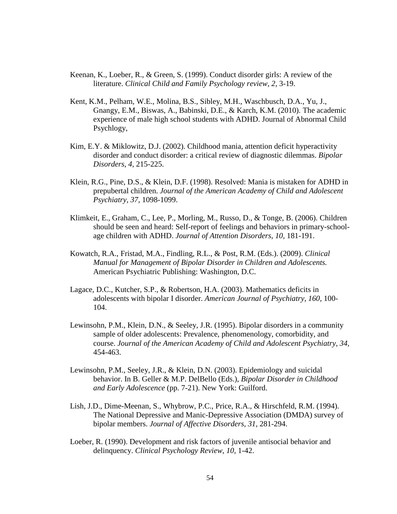- Keenan, K., Loeber, R., & Green, S. (1999). Conduct disorder girls: A review of the literature. *Clinical Child and Family Psychology review, 2,* 3-19.
- Kent, K.M., Pelham, W.E., Molina, B.S., Sibley, M.H., Waschbusch, D.A., Yu, J., Gnangy, E.M., Biswas, A., Babinski, D.E., & Karch, K.M. (2010). The academic experience of male high school students with ADHD. Journal of Abnormal Child Psychlogy,
- Kim, E.Y. & Miklowitz, D.J. (2002). Childhood mania, attention deficit hyperactivity disorder and conduct disorder: a critical review of diagnostic dilemmas. *Bipolar Disorders, 4,* 215-225.
- Klein, R.G., Pine, D.S., & Klein, D.F. (1998). Resolved: Mania is mistaken for ADHD in prepubertal children. *Journal of the American Academy of Child and Adolescent Psychiatry, 37,* 1098-1099.
- Klimkeit, E., Graham, C., Lee, P., Morling, M., Russo, D., & Tonge, B. (2006). Children should be seen and heard: Self-report of feelings and behaviors in primary-schoolage children with ADHD. *Journal of Attention Disorders, 10,* 181-191.
- Kowatch, R.A., Fristad, M.A., Findling, R.L., & Post, R.M. (Eds.). (2009). *Clinical Manual for Management of Bipolar Disorder in Children and Adolescents.* American Psychiatric Publishing: Washington, D.C.
- Lagace, D.C., Kutcher, S.P., & Robertson, H.A. (2003). Mathematics deficits in adolescents with bipolar I disorder. *American Journal of Psychiatry, 160,* 100- 104.
- Lewinsohn, P.M., Klein, D.N., & Seeley, J.R. (1995). Bipolar disorders in a community sample of older adolescents: Prevalence, phenomenology, comorbidity, and course. *Journal of the American Academy of Child and Adolescent Psychiatry, 34,*  454-463.
- Lewinsohn, P.M., Seeley, J.R., & Klein, D.N. (2003). Epidemiology and suicidal behavior. In B. Geller & M.P. DelBello (Eds.), *Bipolar Disorder in Childhood and Early Adolescence* (pp. 7-21). New York: Guilford.
- Lish, J.D., Dime-Meenan, S., Whybrow, P.C., Price, R.A., & Hirschfeld, R.M. (1994). The National Depressive and Manic-Depressive Association (DMDA) survey of bipolar members. *Journal of Affective Disorders, 31,* 281-294.
- Loeber, R. (1990). Development and risk factors of juvenile antisocial behavior and delinquency. *Clinical Psychology Review, 10,* 1-42.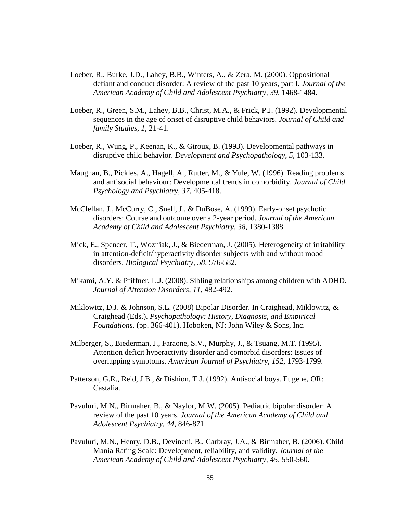- Loeber, R., Burke, J.D., Lahey, B.B., Winters, A., & Zera, M. (2000). Oppositional defiant and conduct disorder: A review of the past 10 years, part I. *Journal of the*  American Academy of Child and Adolescent Psychiatry, 39, 1468-1484.
- Loeber, R., Green, S.M., Lahey, B.B., Christ, M.A., & Frick, P.J. (1992). Developmental sequences in the age of onset of disruptive child behaviors. *Journal of Child and family Studies, 1,* 21-41.
- Loeber, R., Wung, P., Keenan, K., & Giroux, B. (1993). Developmental pathways in disruptive child behavior. *Development and Psychopathology, 5,* 103-133.
- Maughan, B., Pickles, A., Hagell, A., Rutter, M., & Yule, W. (1996). Reading problems and antisocial behaviour: Developmental trends in comorbidity. *Journal of Child Psychology and Psychiatry, 37,* 405-418.
- McClellan, J., McCurry, C., Snell, J., & DuBose, A. (1999). Early-onset psychotic disorders: Course and outcome over a 2-year period. *Journal of the American Academy of Child and Adolescent Psychiatry, 38,* 1380-1388.
- Mick, E., Spencer, T., Wozniak, J., & Biederman, J. (2005). Heterogeneity of irritability in attention-deficit/hyperactivity disorder subjects with and without mood disorders. *Biological Psychiatry, 58,* 576-582.
- Mikami, A.Y. & Pfiffner, L.J. (2008). Sibling relationships among children with ADHD. *Journal of Attention Disorders, 11,* 482-492.
- Miklowitz, D.J. & Johnson, S.L. (2008) Bipolar Disorder. In Craighead, Miklowitz, & Craighead (Eds.). *Psychopathology: History, Diagnosis, and Empirical Foundations*. (pp. 366-401). Hoboken, NJ: John Wiley & Sons, Inc.
- Milberger, S., Biederman, J., Faraone, S.V., Murphy, J., & Tsuang, M.T. (1995). Attention deficit hyperactivity disorder and comorbid disorders: Issues of overlapping symptoms. *American Journal of Psychiatry, 152,* 1793-1799.
- Patterson, G.R., Reid, J.B., & Dishion, T.J. (1992). Antisocial boys. Eugene, OR: Castalia.
- Pavuluri, M.N., Birmaher, B., & Naylor, M.W. (2005). Pediatric bipolar disorder: A review of the past 10 years. *Journal of the American Academy of Child and Adolescent Psychiatry, 44,* 846-871.
- Pavuluri, M.N., Henry, D.B., Devineni, B., Carbray, J.A., & Birmaher, B. (2006). Child Mania Rating Scale: Development, reliability, and validity. *Journal of the American Academy of Child and Adolescent Psychiatry, 45,* 550-560.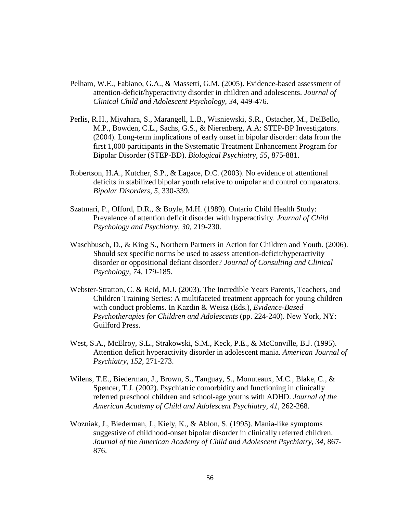- Pelham, W.E., Fabiano, G.A., & Massetti, G.M. (2005). Evidence-based assessment of attention-deficit/hyperactivity disorder in children and adolescents. *Journal of Clinical Child and Adolescent Psychology, 34*, 449-476.
- Perlis, R.H., Miyahara, S., Marangell, L.B., Wisniewski, S.R., Ostacher, M., DelBello, M.P., Bowden, C.L., Sachs, G.S., & Nierenberg, A.A: STEP-BP Investigators. (2004). Long-term implications of early onset in bipolar disorder: data from the first 1,000 participants in the Systematic Treatment Enhancement Program for Bipolar Disorder (STEP-BD). *Biological Psychiatry, 55,* 875-881.
- Robertson, H.A., Kutcher, S.P., & Lagace, D.C. (2003). No evidence of attentional deficits in stabilized bipolar youth relative to unipolar and control comparators. *Bipolar Disorders, 5,* 330-339.
- Szatmari, P., Offord, D.R., & Boyle, M.H. (1989). Ontario Child Health Study: Prevalence of attention deficit disorder with hyperactivity. *Journal of Child Psychology and Psychiatry, 30,* 219-230.
- Waschbusch, D., & King S., Northern Partners in Action for Children and Youth. (2006). Should sex specific norms be used to assess attention-deficit/hyperactivity disorder or oppositional defiant disorder? *Journal of Consulting and Clinical Psychology, 74,* 179-185.
- Webster-Stratton, C. & Reid, M.J. (2003). The Incredible Years Parents, Teachers, and Children Training Series: A multifaceted treatment approach for young children with conduct problems. In Kazdin & Weisz (Eds.), *Evidence-Based Psychotherapies for Children and Adolescents* (pp. 224-240). New York, NY: Guilford Press.
- West, S.A., McElroy, S.L., Strakowski, S.M., Keck, P.E., & McConville, B.J. (1995). Attention deficit hyperactivity disorder in adolescent mania. *American Journal of Psychiatry, 152,* 271-273.
- Wilens, T.E., Biederman, J., Brown, S., Tanguay, S., Monuteaux, M.C., Blake, C., & Spencer, T.J. (2002). Psychiatric comorbidity and functioning in clinically referred preschool children and school-age youths with ADHD. *Journal of the American Academy of Child and Adolescent Psychiatry, 41*, 262-268.
- Wozniak, J., Biederman, J., Kiely, K., & Ablon, S. (1995). Mania-like symptoms suggestive of childhood-onset bipolar disorder in clinically referred children. *Journal of the American Academy of Child and Adolescent Psychiatry, 34,* 867- 876.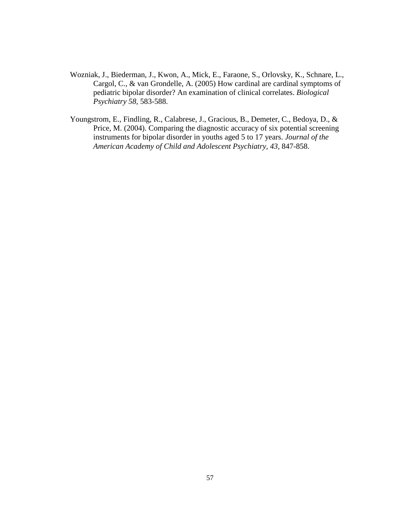- Wozniak, J., Biederman, J., Kwon, A., Mick, E., Faraone, S., Orlovsky, K., Schnare, L., Cargol, C., & van Grondelle, A. (2005) How cardinal are cardinal symptoms of pediatric bipolar disorder? An examination of clinical correlates. *Biological Psychiatry 58,* 583-588.
- Youngstrom, E., Findling, R., Calabrese, J., Gracious, B., Demeter, C., Bedoya, D., & Price, M. (2004). Comparing the diagnostic accuracy of six potential screening instruments for bipolar disorder in youths aged 5 to 17 years. *Journal of the American Academy of Child and Adolescent Psychiatry, 43,* 847-858.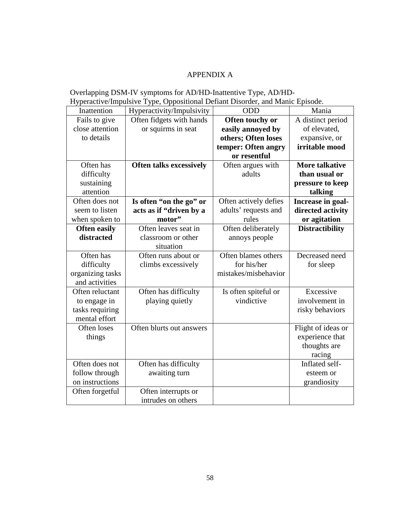## APPENDIX A

## Overlapping DSM-IV symptoms for AD/HD-Inattentive Type, AD/HD-Hyperactive/Impulsive Type, Oppositional Defiant Disorder, and Manic Episode.

| Inattention         | Hyperactivity/Impulsivity      | ODD                   | Mania                  |
|---------------------|--------------------------------|-----------------------|------------------------|
| Fails to give       | Often fidgets with hands       | Often touchy or       | A distinct period      |
| close attention     | or squirms in seat             | easily annoyed by     | of elevated,           |
| to details          |                                | others; Often loses   | expansive, or          |
|                     |                                | temper: Often angry   | irritable mood         |
|                     |                                | or resentful          |                        |
| Often has           | <b>Often talks excessively</b> | Often argues with     | <b>More talkative</b>  |
| difficulty          |                                | adults                | than usual or          |
| sustaining          |                                |                       | pressure to keep       |
| attention           |                                |                       | talking                |
| Often does not      | Is often "on the go" or        | Often actively defies | Increase in goal-      |
| seem to listen      | acts as if "driven by a        | adults' requests and  | directed activity      |
| when spoken to      | motor"                         | rules                 | or agitation           |
| <b>Often easily</b> | Often leaves seat in           | Often deliberately    | <b>Distractibility</b> |
| distracted          | classroom or other             | annoys people         |                        |
|                     | situation                      |                       |                        |
| Often has           | Often runs about or            | Often blames others   | Decreased need         |
| difficulty          | climbs excessively             | for his/her           | for sleep              |
| organizing tasks    |                                | mistakes/misbehavior  |                        |
| and activities      |                                |                       |                        |
| Often reluctant     | Often has difficulty           | Is often spiteful or  | Excessive              |
| to engage in        | playing quietly                | vindictive            | involvement in         |
| tasks requiring     |                                |                       | risky behaviors        |
| mental effort       |                                |                       |                        |
| Often loses         | Often blurts out answers       |                       | Flight of ideas or     |
| things              |                                |                       | experience that        |
|                     |                                |                       | thoughts are           |
|                     |                                |                       | racing                 |
| Often does not      | Often has difficulty           |                       | Inflated self-         |
| follow through      | awaiting turn                  |                       | esteem or              |
| on instructions     |                                |                       | grandiosity            |
| Often forgetful     | Often interrupts or            |                       |                        |
|                     | intrudes on others             |                       |                        |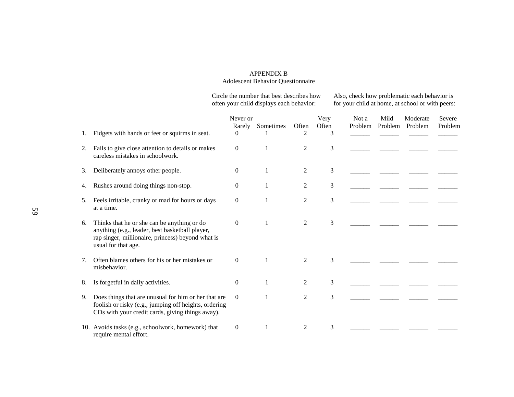#### APPENDIX B Adolescent Behavior Questionnaire

Circle the number that best describes how Also, check how problematic each behavior is often your child displays each behavior: for your child at home, at school or with peers:

| 1. | Fidgets with hands or feet or squirms in seat.                                                                                                                             | Never or<br>Rarely<br>$\Omega$ | Sometimes    | Often<br>2     | Very<br>Often<br>3 | Not a<br>Problem | Mild<br>Problem | Moderate<br>Problem | Severe<br>Problem |
|----|----------------------------------------------------------------------------------------------------------------------------------------------------------------------------|--------------------------------|--------------|----------------|--------------------|------------------|-----------------|---------------------|-------------------|
| 2. | Fails to give close attention to details or makes<br>careless mistakes in schoolwork.                                                                                      | $\theta$                       | 1            | 2              | 3                  |                  |                 |                     |                   |
| 3. | Deliberately annoys other people.                                                                                                                                          | $\mathbf{0}$                   | 1            | $\overline{2}$ | 3                  |                  |                 |                     |                   |
| 4. | Rushes around doing things non-stop.                                                                                                                                       | $\boldsymbol{0}$               | $\mathbf{1}$ | $\overline{c}$ | 3                  |                  |                 |                     |                   |
| 5. | Feels irritable, cranky or mad for hours or days<br>at a time.                                                                                                             | $\mathbf{0}$                   | $\mathbf{1}$ | 2              | 3                  |                  |                 |                     |                   |
| 6. | Thinks that he or she can be anything or do<br>anything (e.g., leader, best basketball player,<br>rap singer, millionaire, princess) beyond what is<br>usual for that age. | $\mathbf{0}$                   | $\mathbf{1}$ | $\overline{c}$ | 3                  |                  |                 |                     |                   |
| 7. | Often blames others for his or her mistakes or<br>misbehavior.                                                                                                             | $\mathbf{0}$                   | $\mathbf{1}$ | $\overline{2}$ | 3                  |                  |                 |                     |                   |
| 8. | Is forgetful in daily activities.                                                                                                                                          | $\mathbf{0}$                   | 1            | $\overline{c}$ | 3                  |                  |                 |                     |                   |
| 9. | Does things that are unusual for him or her that are<br>foolish or risky (e.g., jumping off heights, ordering<br>CDs with your credit cards, giving things away).          | $\overline{0}$                 |              | 2              | 3                  |                  |                 |                     |                   |
|    | 10. Avoids tasks (e.g., schoolwork, homework) that<br>require mental effort.                                                                                               | $\overline{0}$                 |              | 2              | 3                  |                  |                 |                     |                   |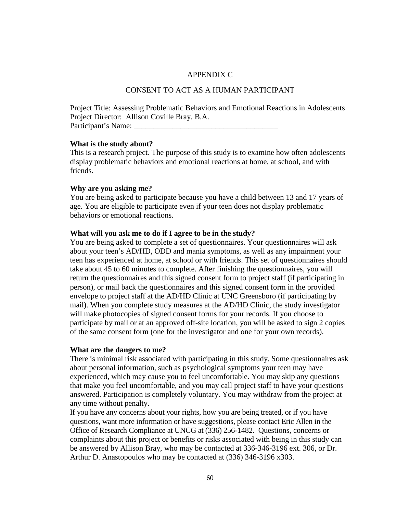#### APPENDIX C

## CONSENT TO ACT AS A HUMAN PARTICIPANT

Project Title: Assessing Problematic Behaviors and Emotional Reactions in Adolescents Project Director: Allison Coville Bray, B.A. Participant's Name:

#### **What is the study about?**

This is a research project. The purpose of this study is to examine how often adolescents display problematic behaviors and emotional reactions at home, at school, and with friends.

#### **Why are you asking me?**

You are being asked to participate because you have a child between 13 and 17 years of age. You are eligible to participate even if your teen does not display problematic behaviors or emotional reactions.

#### **What will you ask me to do if I agree to be in the study?**

You are being asked to complete a set of questionnaires. Your questionnaires will ask about your teen's AD/HD, ODD and mania symptoms, as well as any impairment your teen has experienced at home, at school or with friends. This set of questionnaires should take about 45 to 60 minutes to complete. After finishing the questionnaires, you will return the questionnaires and this signed consent form to project staff (if participating in person), or mail back the questionnaires and this signed consent form in the provided envelope to project staff at the AD/HD Clinic at UNC Greensboro (if participating by mail). When you complete study measures at the AD/HD Clinic, the study investigator will make photocopies of signed consent forms for your records. If you choose to participate by mail or at an approved off-site location, you will be asked to sign 2 copies of the same consent form (one for the investigator and one for your own records).

#### **What are the dangers to me?**

There is minimal risk associated with participating in this study. Some questionnaires ask about personal information, such as psychological symptoms your teen may have experienced, which may cause you to feel uncomfortable. You may skip any questions that make you feel uncomfortable, and you may call project staff to have your questions answered. Participation is completely voluntary. You may withdraw from the project at any time without penalty.

If you have any concerns about your rights, how you are being treated, or if you have questions, want more information or have suggestions, please contact Eric Allen in the Office of Research Compliance at UNCG at (336) 256-1482. Questions, concerns or complaints about this project or benefits or risks associated with being in this study can be answered by Allison Bray, who may be contacted at 336-346-3196 ext. 306, or Dr. Arthur D. Anastopoulos who may be contacted at (336) 346-3196 x303.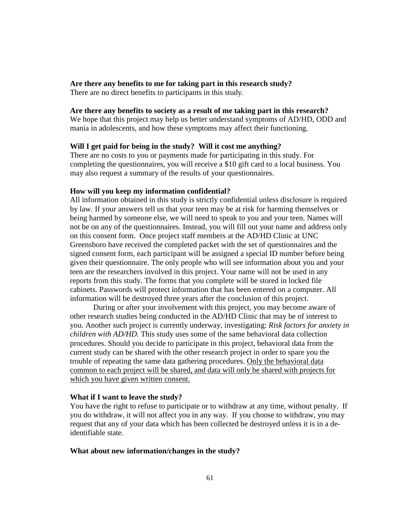### **Are there any benefits to me for taking part in this research study?**

There are no direct benefits to participants in this study.

### **Are there any benefits to society as a result of me taking part in this research?**

We hope that this project may help us better understand symptoms of AD/HD, ODD and mania in adolescents, and how these symptoms may affect their functioning.

## **Will I get paid for being in the study? Will it cost me anything?**

There are no costs to you or payments made for participating in this study. For completing the questionnaires, you will receive a \$10 gift card to a local business. You may also request a summary of the results of your questionnaires.

#### **How will you keep my information confidential?**

All information obtained in this study is strictly confidential unless disclosure is required by law. If your answers tell us that your teen may be at risk for harming themselves or being harmed by someone else, we will need to speak to you and your teen. Names will not be on any of the questionnaires. Instead, you will fill out your name and address only on this consent form. Once project staff members at the AD/HD Clinic at UNC Greensboro have received the completed packet with the set of questionnaires and the signed consent form, each participant will be assigned a special ID number before being given their questionnaire. The only people who will see information about you and your teen are the researchers involved in this project. Your name will not be used in any reports from this study. The forms that you complete will be stored in locked file cabinets. Passwords will protect information that has been entered on a computer. All information will be destroyed three years after the conclusion of this project.

 During or after your involvement with this project, you may become aware of other research studies being conducted in the AD/HD Clinic that may be of interest to you. Another such project is currently underway, investigating: *Risk factors for anxiety in children with AD/HD.* This study uses some of the same behavioral data collection procedures. Should you decide to participate in this project, behavioral data from the current study can be shared with the other research project in order to spare you the trouble of repeating the same data gathering procedures. Only the behavioral data common to each project will be shared, and data will only be shared with projects for which you have given written consent.

#### **What if I want to leave the study?**

You have the right to refuse to participate or to withdraw at any time, without penalty. If you do withdraw, it will not affect you in any way. If you choose to withdraw, you may request that any of your data which has been collected be destroyed unless it is in a deidentifiable state.

#### **What about new information/changes in the study?**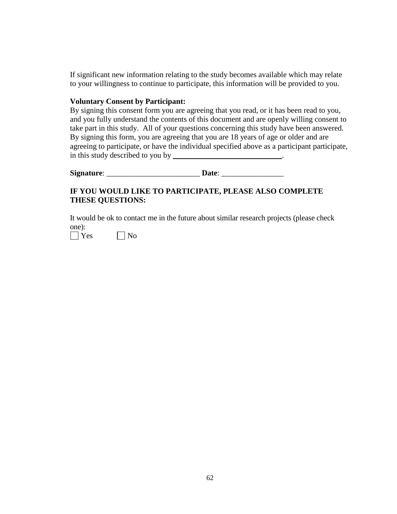If significant new information relating to the study becomes available which may relate to your willingness to continue to participate, this information will be provided to you.

## **Voluntary Consent by Participant:**

By signing this consent form you are agreeing that you read, or it has been read to you, and you fully understand the contents of this document and are openly willing consent to take part in this study. All of your questions concerning this study have been answered. By signing this form, you are agreeing that you are 18 years of age or older and are agreeing to participate, or have the individual specified above as a participant participate, in this study described to you by \_\_\_\_\_\_\_\_\_\_\_\_\_\_\_\_\_\_\_\_\_\_\_\_\_\_\_\_.

**Signature**: \_\_\_\_\_\_\_\_\_\_\_\_\_\_\_\_\_\_\_\_\_\_\_\_ **Date**: \_\_\_\_\_\_\_\_\_\_\_\_\_\_\_\_

## **IF YOU WOULD LIKE TO PARTICIPATE, PLEASE ALSO COMPLETE THESE QUESTIONS:**

It would be ok to contact me in the future about similar research projects (please check one):

 $\bigcap$  Yes  $\bigcap$  No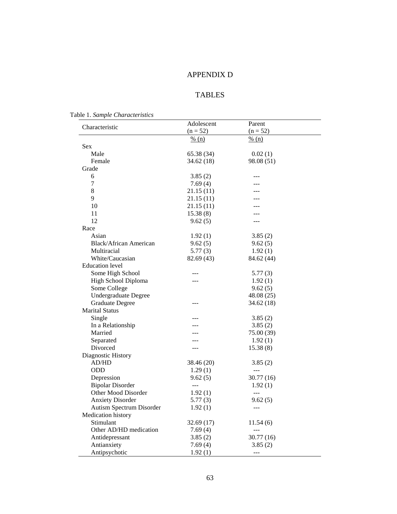# APPENDIX D

# TABLES

Table 1. *Sample Characteristics* 

| Characteristic                | Adolescent        | Parent            |  |  |  |
|-------------------------------|-------------------|-------------------|--|--|--|
|                               | $(n = 52)$        | $(n = 52)$        |  |  |  |
|                               | $\frac{9}{6}$ (n) | $\frac{9}{6}$ (n) |  |  |  |
| <b>Sex</b>                    |                   |                   |  |  |  |
| Male                          | 65.38(34)         | 0.02(1)           |  |  |  |
| Female                        | 34.62 (18)        | 98.08 (51)        |  |  |  |
| Grade                         |                   |                   |  |  |  |
| 6                             | 3.85(2)           |                   |  |  |  |
| 7                             | 7.69(4)           |                   |  |  |  |
| 8                             | 21.15(11)         |                   |  |  |  |
| 9                             | 21.15(11)         |                   |  |  |  |
| 10                            | 21.15(11)         |                   |  |  |  |
| 11                            | 15.38(8)          |                   |  |  |  |
| 12                            | 9.62(5)           | ---               |  |  |  |
| Race                          |                   |                   |  |  |  |
| Asian                         | 1.92(1)           | 3.85(2)           |  |  |  |
| <b>Black/African American</b> | 9.62(5)           | 9.62(5)           |  |  |  |
| Multiracial                   | 5.77(3)           | 1.92(1)           |  |  |  |
| White/Caucasian               | 82.69 (43)        | 84.62 (44)        |  |  |  |
| <b>Education</b> level        |                   |                   |  |  |  |
| Some High School              |                   | 5.77(3)           |  |  |  |
| High School Diploma           |                   | 1.92(1)           |  |  |  |
| Some College                  |                   | 9.62(5)           |  |  |  |
| <b>Undergraduate Degree</b>   |                   | 48.08 (25)        |  |  |  |
| <b>Graduate Degree</b>        | ---               | 34.62(18)         |  |  |  |
| <b>Marital Status</b>         |                   |                   |  |  |  |
| Single                        | ---               | 3.85(2)           |  |  |  |
| In a Relationship             |                   | 3.85(2)           |  |  |  |
| Married                       |                   | 75.00 (39)        |  |  |  |
| Separated                     |                   | 1.92(1)           |  |  |  |
| Divorced                      | ---               | 15.38(8)          |  |  |  |
| Diagnostic History            |                   |                   |  |  |  |
| AD/HD                         | 38.46 (20)        | 3.85(2)           |  |  |  |
| <b>ODD</b>                    | 1.29(1)           |                   |  |  |  |
| Depression                    | 9.62(5)           | 30.77(16)         |  |  |  |
| <b>Bipolar Disorder</b>       | $---$             | 1.92(1)           |  |  |  |
| Other Mood Disorder           | 1.92(1)           | $---$             |  |  |  |
| <b>Anxiety Disorder</b>       | 5.77(3)           | 9.62(5)           |  |  |  |
| Autism Spectrum Disorder      | 1.92(1)           | $---$             |  |  |  |
| Medication history            |                   |                   |  |  |  |
| Stimulant                     | 32.69(17)         | 11.54(6)          |  |  |  |
| Other AD/HD medication        | 7.69(4)           | ---               |  |  |  |
| Antidepressant                | 3.85(2)           | 30.77(16)         |  |  |  |
| Antianxiety                   | 7.69(4)           | 3.85(2)           |  |  |  |
| Antipsychotic                 | 1.92(1)           | ---               |  |  |  |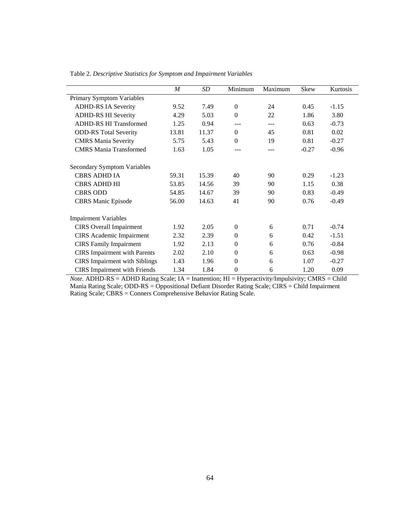|                                      | $\boldsymbol{M}$ | SD    | Minimum      | Maximum | Skew    | Kurtosis |
|--------------------------------------|------------------|-------|--------------|---------|---------|----------|
| Primary Symptom Variables            |                  |       |              |         |         |          |
| <b>ADHD-RS IA Severity</b>           | 9.52             | 7.49  | $\Omega$     | 24      | 0.45    | $-1.15$  |
| <b>ADHD-RS HI Severity</b>           | 4.29             | 5.03  | $\Omega$     | 22      | 1.86    | 3.80     |
| <b>ADHD-RS HI Transformed</b>        | 1.25             | 0.94  | ---          | ---     | 0.63    | $-0.73$  |
| <b>ODD-RS</b> Total Severity         | 13.81            | 11.37 | $\theta$     | 45      | 0.81    | 0.02     |
| <b>CMRS</b> Mania Severity           | 5.75             | 5.43  | $\Omega$     | 19      | 0.81    | $-0.27$  |
| <b>CMRS</b> Mania Transformed        | 1.63             | 1.05  | ---          | ---     | $-0.27$ | $-0.96$  |
| <b>Secondary Symptom Variables</b>   |                  |       |              |         |         |          |
| CBRS ADHD IA                         | 59.31            | 15.39 | 40           | 90      | 0.29    | $-1.23$  |
| <b>CBRS ADHD HI</b>                  | 53.85            | 14.56 | 39           | 90      | 1.15    | 0.38     |
| <b>CBRS ODD</b>                      | 54.85            | 14.67 | 39           | 90      | 0.83    | $-0.49$  |
| <b>CBRS</b> Manic Episode            | 56.00            | 14.63 | 41           | 90      | 0.76    | $-0.49$  |
| <b>Impairment Variables</b>          |                  |       |              |         |         |          |
| <b>CIRS</b> Overall Impairment       | 1.92             | 2.05  | $\Omega$     | 6       | 0.71    | $-0.74$  |
| <b>CIRS</b> Academic Impairment      | 2.32             | 2.39  | $\Omega$     | 6       | 0.42    | $-1.51$  |
| <b>CIRS</b> Family Impairment        | 1.92             | 2.13  | $\Omega$     | 6       | 0.76    | $-0.84$  |
| <b>CIRS</b> Impairment with Parents  | 2.02             | 2.10  | $\Omega$     | 6       | 0.63    | $-0.98$  |
| <b>CIRS</b> Impairment with Siblings | 1.43             | 1.96  | $\Omega$     | 6       | 1.07    | $-0.27$  |
| <b>CIRS</b> Impairment with Friends  | 1.34             | 1.84  | $\mathbf{0}$ | 6       | 1.20    | 0.09     |

Table 2. *Descriptive Statistics for Symptom and Impairment Variables* 

*Note.* ADHD-RS = ADHD Rating Scale; IA = Inattention; HI = Hyperactivity/Impulsivity; CMRS = Child Mania Rating Scale; ODD-RS = Oppositional Defiant Disorder Rating Scale; CIRS = Child Impairment Rating Scale; CBRS = Conners Comprehensive Behavior Rating Scale.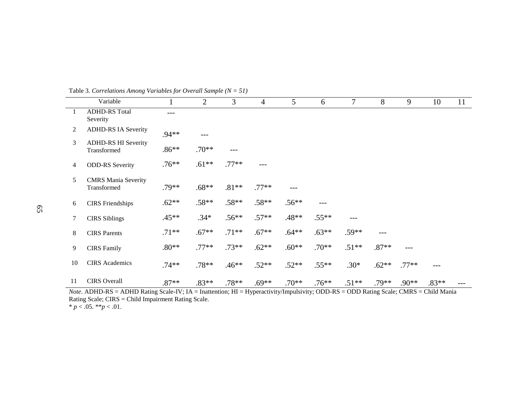|    | Variable                                  |         | 2       | 3       | $\overline{4}$ | 5       | 6       | $\tau$  | 8       | 9       | 10      | 11 |
|----|-------------------------------------------|---------|---------|---------|----------------|---------|---------|---------|---------|---------|---------|----|
| -1 | <b>ADHD-RS Total</b><br>Severity          | $---$   |         |         |                |         |         |         |         |         |         |    |
| 2  | <b>ADHD-RS IA Severity</b>                | $.94**$ | ---     |         |                |         |         |         |         |         |         |    |
| 3  | <b>ADHD-RS HI Severity</b><br>Transformed | $.86**$ | $.70**$ | $---$   |                |         |         |         |         |         |         |    |
| 4  | <b>ODD-RS</b> Severity                    | $.76**$ | $.61**$ | $.77**$ | ---            |         |         |         |         |         |         |    |
| 5  | <b>CMRS</b> Mania Severity<br>Transformed | $.79**$ | $.68**$ | $.81**$ | $.77**$        | $---$   |         |         |         |         |         |    |
| 6  | <b>CIRS</b> Friendships                   | $.62**$ | $.58**$ | $.58**$ | $.58**$        | $.56**$ | ---     |         |         |         |         |    |
| 7  | <b>CIRS</b> Siblings                      | $.45**$ | $.34*$  | $.56**$ | $.57**$        | $.48**$ | $.55**$ | $---$   |         |         |         |    |
| 8  | <b>CIRS</b> Parents                       | $.71**$ | $.67**$ | $.71**$ | $.67**$        | $.64**$ | $.63**$ | $.59**$ | ---     |         |         |    |
| 9  | <b>CIRS</b> Family                        | $.80**$ | $.77**$ | $.73**$ | $.62**$        | $.60**$ | $.70**$ | $.51**$ | $.87**$ | ---     |         |    |
| 10 | <b>CIRS</b> Academics                     | $.74**$ | $.78**$ | $.46**$ | $.52**$        | $.52**$ | $.55**$ | $.30*$  | $.62**$ | $.77**$ | ---     |    |
| 11 | <b>CIRS</b> Overall                       | $.87**$ | $.83**$ | $.78**$ | $.69**$        | $.70**$ | $.76**$ | $.51**$ | $.79**$ | $.90**$ | $.83**$ |    |

Table 3. *Correlations Among Variables for Overall Sample (N = 51)*

*Note*. ADHD-RS = ADHD Rating Scale-IV; IA = Inattention; HI = Hyperactivity/Impulsivity; ODD-RS = ODD Rating Scale; CMRS = Child Mania Rating Scale; CIRS = Child Impairment Rating Scale. \* *p* < .05. \*\**p* < .01.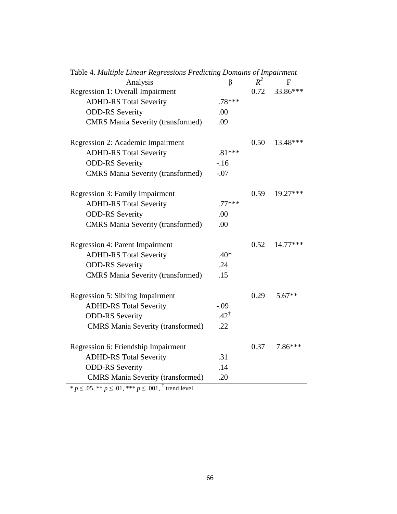| <b>Table 4. Muttiple Linear Regressions Predicting Domains of Impairment</b> |                 | $R^2$ |          |
|------------------------------------------------------------------------------|-----------------|-------|----------|
| Analysis                                                                     | β               | 0.72  | F        |
| Regression 1: Overall Impairment                                             |                 |       | 33.86*** |
| <b>ADHD-RS Total Severity</b>                                                | $.78***$        |       |          |
| <b>ODD-RS</b> Severity                                                       | .00             |       |          |
| <b>CMRS</b> Mania Severity (transformed)                                     | .09             |       |          |
| Regression 2: Academic Impairment                                            |                 | 0.50  | 13.48*** |
| <b>ADHD-RS Total Severity</b>                                                | $.81***$        |       |          |
| <b>ODD-RS Severity</b>                                                       | $-16$           |       |          |
| <b>CMRS</b> Mania Severity (transformed)                                     | $-.07$          |       |          |
|                                                                              |                 |       |          |
| <b>Regression 3: Family Impairment</b>                                       |                 | 0.59  | 19.27*** |
| <b>ADHD-RS Total Severity</b>                                                | $.77***$        |       |          |
| <b>ODD-RS</b> Severity                                                       | .00             |       |          |
| <b>CMRS</b> Mania Severity (transformed)                                     | .00             |       |          |
|                                                                              |                 |       |          |
| <b>Regression 4: Parent Impairment</b>                                       |                 | 0.52  | 14.77*** |
| <b>ADHD-RS Total Severity</b>                                                | $.40*$          |       |          |
| <b>ODD-RS</b> Severity                                                       | .24             |       |          |
| <b>CMRS</b> Mania Severity (transformed)                                     | .15             |       |          |
|                                                                              |                 |       |          |
| <b>Regression 5: Sibling Impairment</b>                                      |                 | 0.29  | $5.67**$ |
| <b>ADHD-RS Total Severity</b>                                                | $-.09$          |       |          |
| <b>ODD-RS</b> Severity                                                       | $.42^{\dagger}$ |       |          |
| <b>CMRS</b> Mania Severity (transformed)                                     | .22             |       |          |
|                                                                              |                 |       |          |
| Regression 6: Friendship Impairment                                          |                 | 0.37  | 7.86***  |
| <b>ADHD-RS Total Severity</b>                                                | .31             |       |          |
| <b>ODD-RS</b> Severity                                                       | .14             |       |          |
| <b>CMRS</b> Mania Severity (transformed)                                     | .20             |       |          |
|                                                                              |                 |       |          |

Table 4. *Multiple Linear Regressions Predicting Domains of Impairment*

\* *p* ≤ .05, \*\* *p* ≤ .01, \*\*\* *p* ≤ .001, † trend level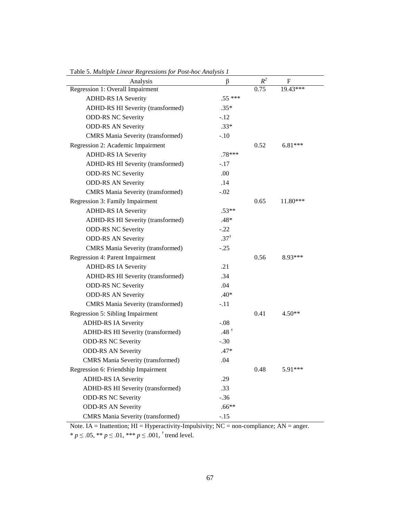| raoic 5. muuipie Einear Regressions jor 1 osi-noc Anarysis 1<br>Analysis | β               | $R^2$ | F         |
|--------------------------------------------------------------------------|-----------------|-------|-----------|
| Regression 1: Overall Impairment                                         |                 | 0.75  | 19.43***  |
| <b>ADHD-RS IA Severity</b>                                               | $.55***$        |       |           |
| ADHD-RS HI Severity (transformed)                                        | $.35*$          |       |           |
| <b>ODD-RS NC Severity</b>                                                | $-.12$          |       |           |
| <b>ODD-RS AN Severity</b>                                                | $.33*$          |       |           |
| <b>CMRS</b> Mania Severity (transformed)                                 | $-.10$          |       |           |
| Regression 2: Academic Impairment                                        |                 | 0.52  | $6.81***$ |
| <b>ADHD-RS IA Severity</b>                                               | $.78***$        |       |           |
| ADHD-RS HI Severity (transformed)                                        | $-.17$          |       |           |
| <b>ODD-RS NC Severity</b>                                                | .00             |       |           |
| <b>ODD-RS AN Severity</b>                                                | .14             |       |           |
| <b>CMRS</b> Mania Severity (transformed)                                 | $-.02$          |       |           |
| Regression 3: Family Impairment                                          |                 | 0.65  | 11.80***  |
| <b>ADHD-RS IA Severity</b>                                               | $.53**$         |       |           |
| ADHD-RS HI Severity (transformed)                                        | .48*            |       |           |
| <b>ODD-RS NC Severity</b>                                                | $-.22$          |       |           |
| <b>ODD-RS AN Severity</b>                                                | $.37^{\dagger}$ |       |           |
| <b>CMRS</b> Mania Severity (transformed)                                 | $-.25$          |       |           |
| Regression 4: Parent Impairment                                          |                 | 0.56  | 8.93***   |
| <b>ADHD-RS IA Severity</b>                                               | .21             |       |           |
| ADHD-RS HI Severity (transformed)                                        | .34             |       |           |
| <b>ODD-RS NC Severity</b>                                                | .04             |       |           |
| <b>ODD-RS AN Severity</b>                                                | $.40*$          |       |           |
| <b>CMRS</b> Mania Severity (transformed)                                 | $-.11$          |       |           |
| Regression 5: Sibling Impairment                                         |                 | 0.41  | $4.50**$  |
| <b>ADHD-RS IA Severity</b>                                               | $-.08$          |       |           |
| ADHD-RS HI Severity (transformed)                                        | $.48^{\dagger}$ |       |           |
| <b>ODD-RS NC Severity</b>                                                | $-.30$          |       |           |
| <b>ODD-RS AN Severity</b>                                                | $.47*$          |       |           |
| <b>CMRS</b> Mania Severity (transformed)                                 | .04             |       |           |
| Regression 6: Friendship Impairment                                      |                 | 0.48  | 5.91***   |
| <b>ADHD-RS IA Severity</b>                                               | .29             |       |           |
| ADHD-RS HI Severity (transformed)                                        | .33             |       |           |
| <b>ODD-RS NC Severity</b>                                                | $-.36$          |       |           |
| <b>ODD-RS AN Severity</b>                                                | $.66**$         |       |           |
| <b>CMRS</b> Mania Severity (transformed)                                 | $-.15$          |       |           |

Table 5. *Multiple Linear Regressions for Post-hoc Analysis 1*

Note. IA = Inattention; HI = Hyperactivity-Impulsivity; NC = non-compliance; AN = anger. \* *p* ≤ .05, \*\* *p* ≤ .01, \*\*\* *p* ≤ .001, <sup>†</sup> trend level.